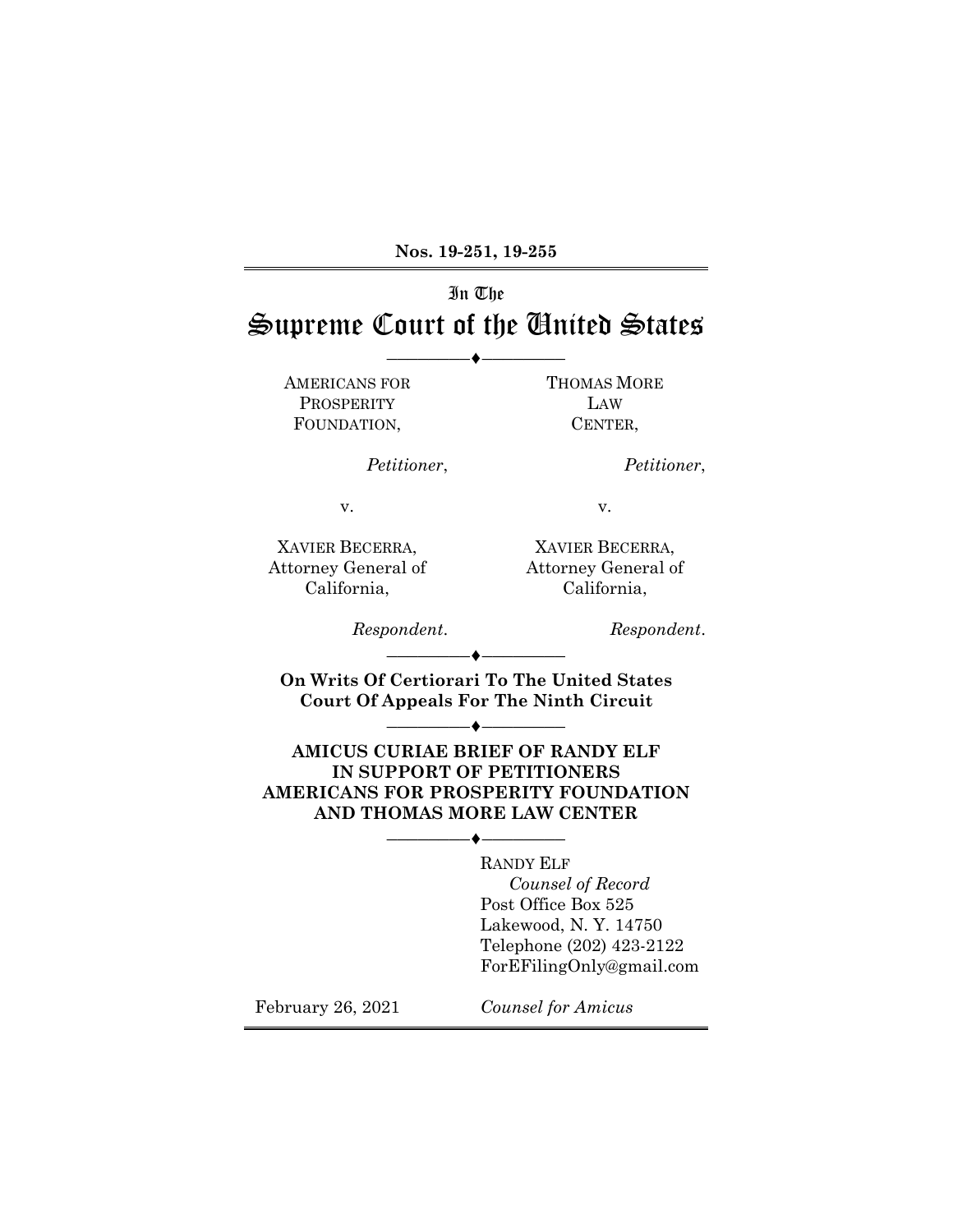**Nos. 19-251, 19-255**

# In The Supreme Court of the United States

––––––––♦––––––––

AMERICANS FOR **PROSPERITY** FOUNDATION,

THOMAS MORE LAW CENTER,

*Petitioner*,

*Petitioner*,

v.

XAVIER BECERRA, Attorney General of California,

XAVIER BECERRA, Attorney General of California,

v.

*Respondent*.

*Respondent*.

**On Writs Of Certiorari To The United States Court Of Appeals For The Ninth Circuit**

––––––––♦––––––––

––––––––♦––––––––

**AMICUS CURIAE BRIEF OF RANDY ELF IN SUPPORT OF PETITIONERS AMERICANS FOR PROSPERITY FOUNDATION AND THOMAS MORE LAW CENTER**

––––––––♦––––––––

RANDY ELF  *Counsel of Record* Post Office Box 525 Lakewood, N. Y. 14750 Telephone (202) 423-2122 ForEFilingOnly@gmail.com

February 26, 2021

*Counsel for Amicus*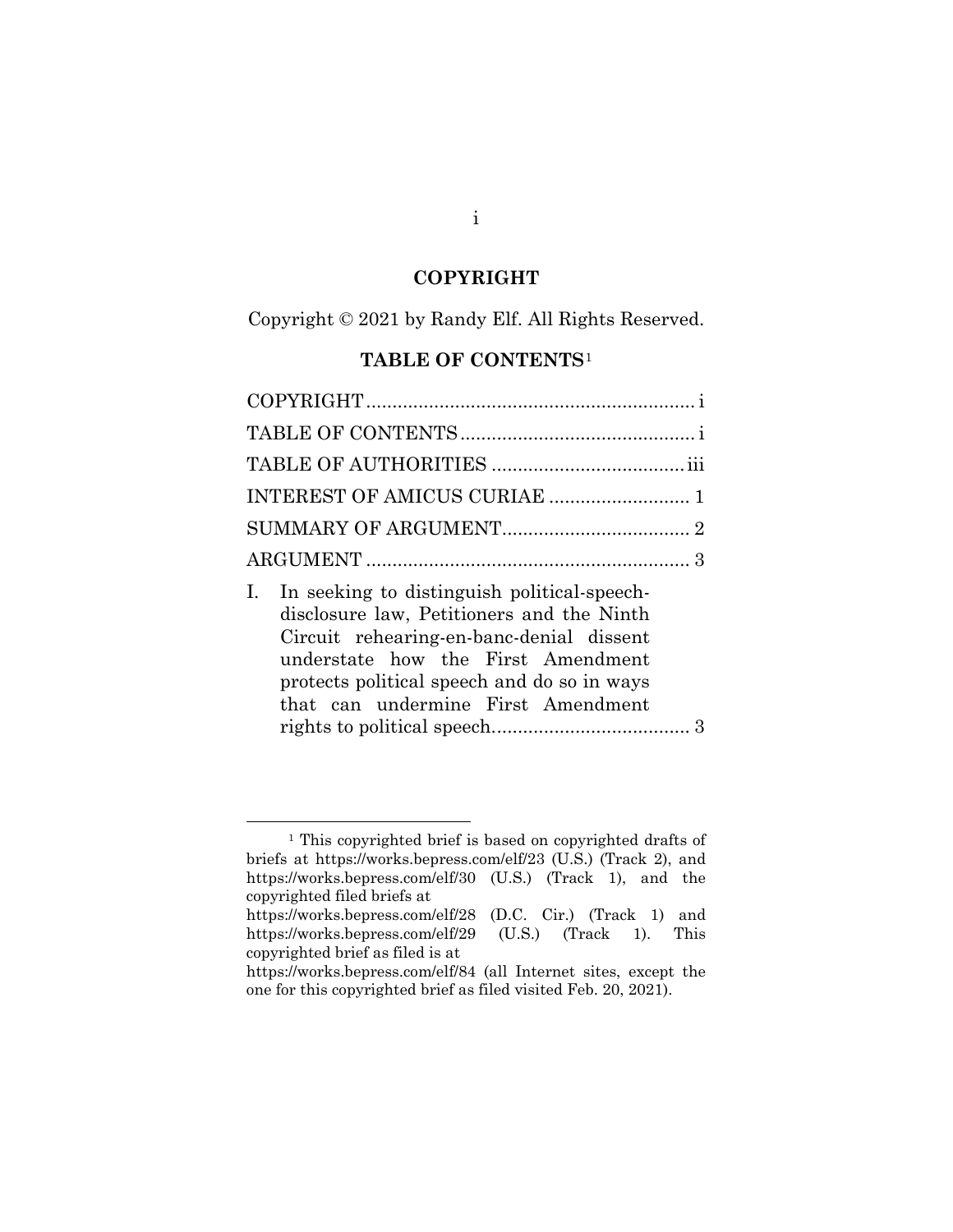# **COPYRIGHT**

<span id="page-1-0"></span>Copyright © 2021 by Randy Elf. All Rights Reserved.

# **TABLE OF CONTENTS**[1](#page-1-2)

<span id="page-1-1"></span>

| I. In seeking to distinguish political-speech-<br>disclosure law, Petitioners and the Ninth<br>Circuit rehearing-en-banc-denial dissent<br>understate how the First Amendment<br>protects political speech and do so in ways<br>that can undermine First Amendment |  |
|--------------------------------------------------------------------------------------------------------------------------------------------------------------------------------------------------------------------------------------------------------------------|--|

<span id="page-1-2"></span> <sup>1</sup> This copyrighted brief is based on copyrighted drafts of briefs at https://works.bepress.com/elf/23 (U.S.) (Track 2), and https://works.bepress.com/elf/30 (U.S.) (Track 1), and the copyrighted filed briefs at https://works.bepress.com/elf/28 (D.C. Cir.) (Track 1) and

https://works.bepress.com/elf/29 (U.S.) (Track 1). This copyrighted brief as filed is at

https://works.bepress.com/elf/84 (all Internet sites, except the one for this copyrighted brief as filed visited Feb. 20, 2021).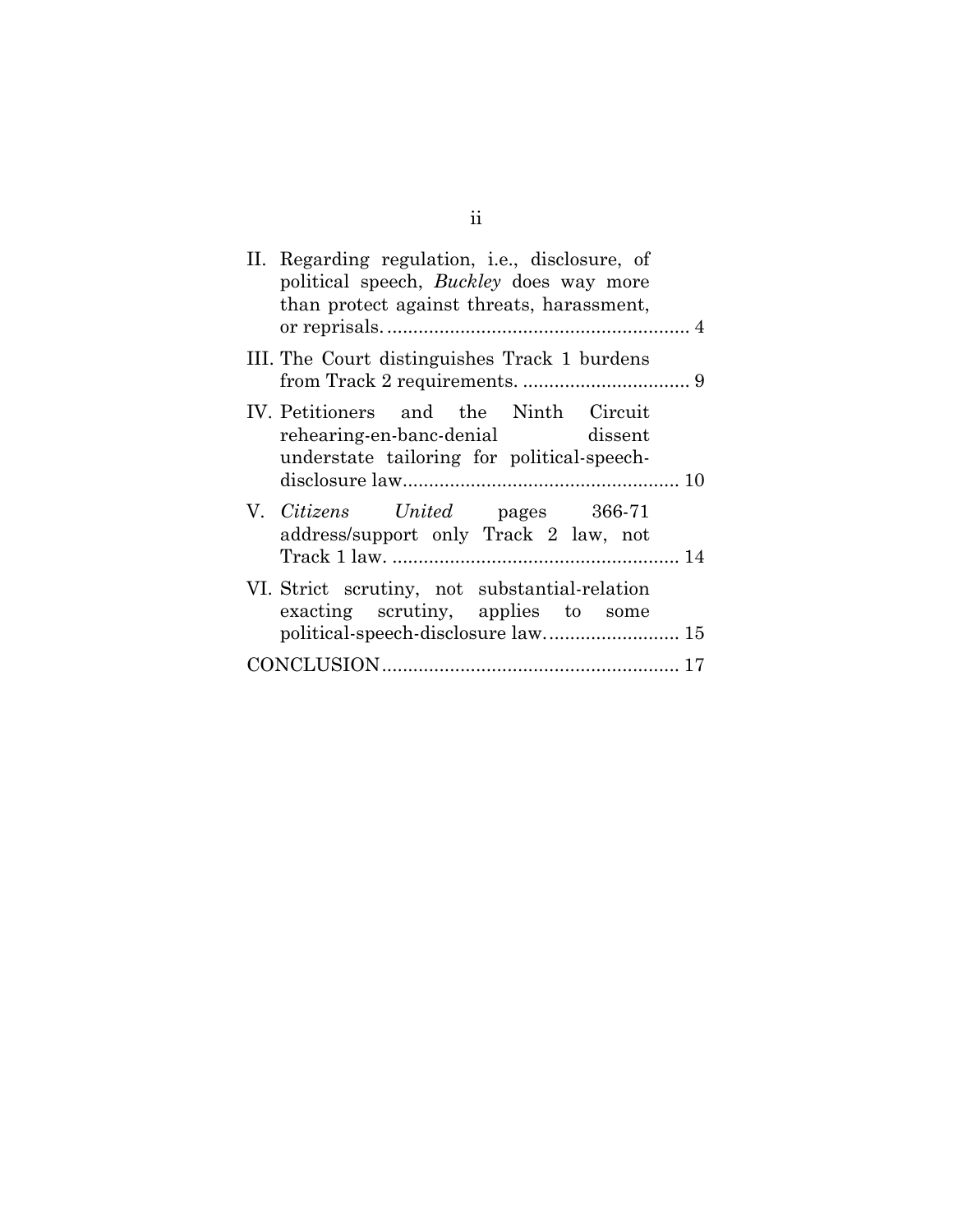| II. Regarding regulation, <i>i.e.</i> , disclosure, of<br>political speech, <i>Buckley</i> does way more<br>than protect against threats, harassment, |  |
|-------------------------------------------------------------------------------------------------------------------------------------------------------|--|
|                                                                                                                                                       |  |
| III. The Court distinguishes Track 1 burdens                                                                                                          |  |
| IV. Petitioners and the Ninth Circuit<br>rehearing-en-banc-denial dissent<br>understate tailoring for political-speech-                               |  |
|                                                                                                                                                       |  |
| V. Citizens United pages 366-71<br>address/support only Track 2 law, not                                                                              |  |
|                                                                                                                                                       |  |
| VI. Strict scrutiny, not substantial-relation<br>exacting scrutiny, applies to some                                                                   |  |
| political-speech-disclosure law 15                                                                                                                    |  |
|                                                                                                                                                       |  |
|                                                                                                                                                       |  |

ii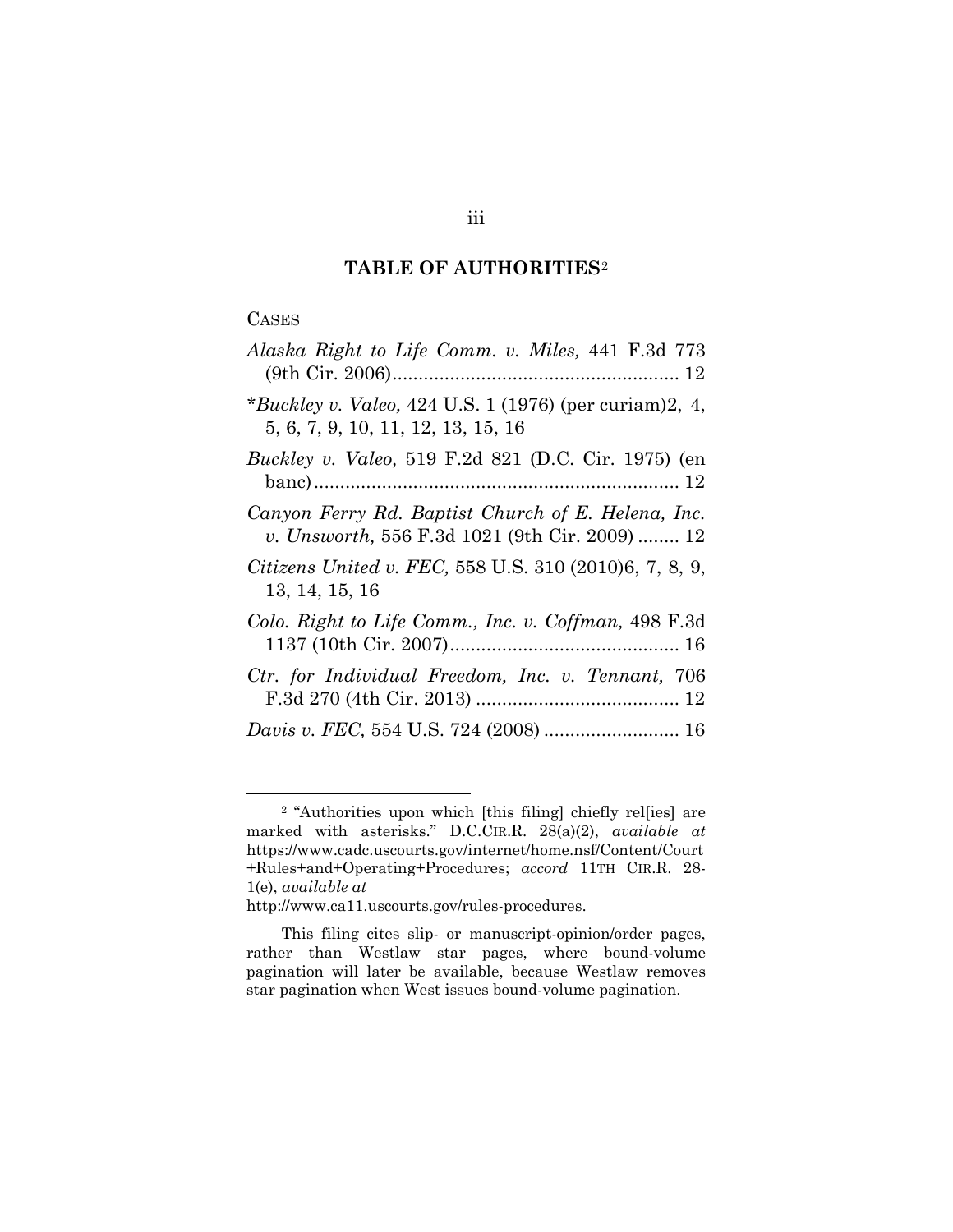## **TABLE OF AUTHORITIES**[2](#page-3-1)

#### <span id="page-3-0"></span>**CASES**

| Alaska Right to Life Comm. v. Miles, 441 F.3d 773                                                    |
|------------------------------------------------------------------------------------------------------|
| *Buckley v. Valeo, 424 U.S. 1 (1976) (per curiam)2, 4,<br>5, 6, 7, 9, 10, 11, 12, 13, 15, 16         |
| <i>Buckley v. Valeo,</i> 519 F.2d 821 (D.C. Cir. 1975) (en                                           |
| Canyon Ferry Rd. Baptist Church of E. Helena, Inc.<br>v. Unsworth, 556 F.3d 1021 (9th Cir. 2009)  12 |
| Citizens United v. FEC, 558 U.S. 310 (2010)6, 7, 8, 9,<br>13, 14, 15, 16                             |
| Colo. Right to Life Comm., Inc. v. Coffman, 498 F.3d                                                 |
| Ctr. for Individual Freedom, Inc. v. Tennant, 706                                                    |
|                                                                                                      |

<span id="page-3-1"></span> <sup>2</sup> "Authorities upon which [this filing] chiefly rel[ies] are marked with asterisks." D.C.CIR.R. 28(a)(2), *available at* https://www.cadc.uscourts.gov/internet/home.nsf/Content/Court +Rules+and+Operating+Procedures; *accord* 11TH CIR.R. 28- 1(e), *available at* 

http://www.ca11.uscourts.gov/rules-procedures.

This filing cites slip- or manuscript-opinion/order pages, rather than Westlaw star pages, where bound-volume pagination will later be available, because Westlaw removes star pagination when West issues bound-volume pagination.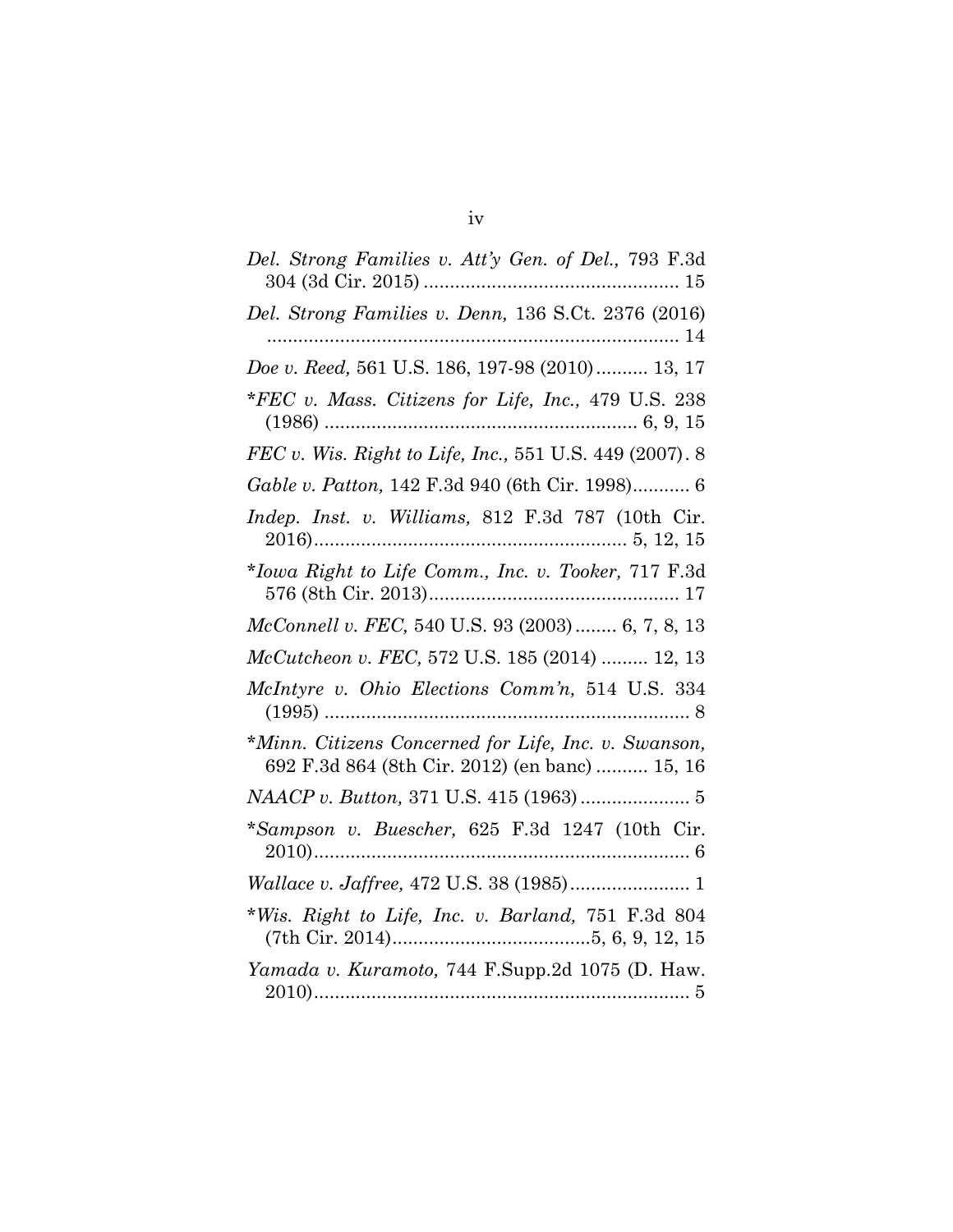| Del. Strong Families v. Att'y Gen. of Del., 793 F.3d                                                   |
|--------------------------------------------------------------------------------------------------------|
| Del. Strong Families v. Denn, 136 S.Ct. 2376 (2016)                                                    |
| Doe v. Reed, 561 U.S. 186, 197-98 (2010) 13, 17                                                        |
| *FEC v. Mass. Citizens for Life, Inc., 479 U.S. 238                                                    |
| FEC v. Wis. Right to Life, Inc., 551 U.S. 449 (2007). 8                                                |
| Gable v. Patton, 142 F.3d 940 (6th Cir. 1998) 6                                                        |
| <i>Indep. Inst. v. Williams, 812 F.3d 787 (10th Cir.</i>                                               |
| *Iowa Right to Life Comm., Inc. v. Tooker, 717 F.3d                                                    |
| <i>McConnell v. FEC, 540 U.S. 93 (2003)  6, 7, 8, 13</i>                                               |
| McCutcheon v. FEC, 572 U.S. 185 (2014)  12, 13                                                         |
| McIntyre v. Ohio Elections Comm'n, 514 U.S. 334                                                        |
| *Minn. Citizens Concerned for Life, Inc. v. Swanson,<br>692 F.3d 864 (8th Cir. 2012) (en banc)  15, 16 |
|                                                                                                        |
| *Sampson v. Buescher, 625 F.3d 1247 (10th Cir.                                                         |
|                                                                                                        |
| *Wis. Right to Life, Inc. v. Barland, 751 F.3d 804                                                     |
| Yamada v. Kuramoto, 744 F.Supp.2d 1075 (D. Haw.                                                        |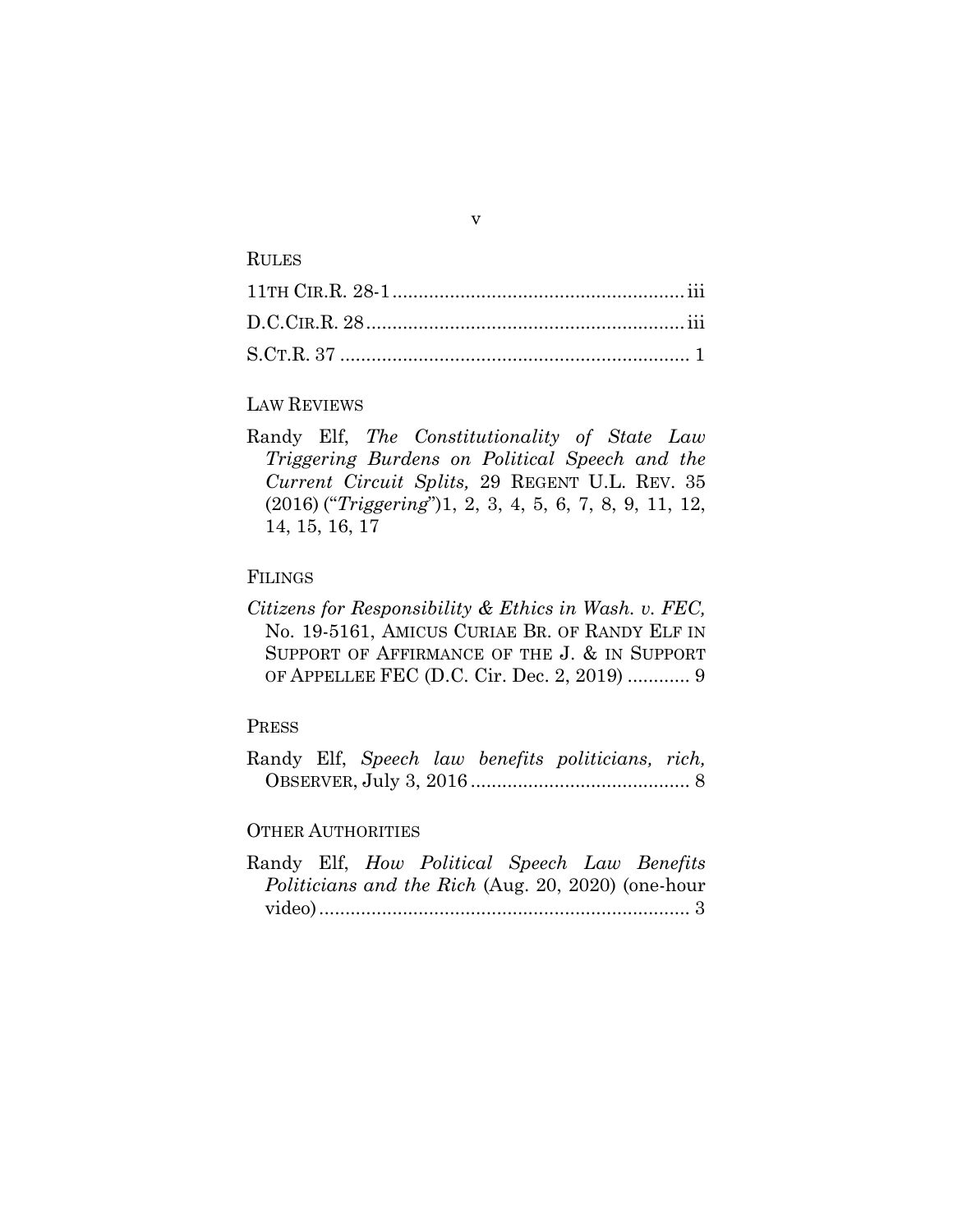#### RULES

## LAW REVIEWS

Randy Elf, *The Constitutionality of State Law Triggering Burdens on Political Speech and the Current Circuit Splits,* 29 REGENT U.L. REV. 35 (2016) ("*Triggering*")1, 2, 3, 4, 5, 6, 7, 8, 9, 11, 12, 14, 15, 16, 17

## FILINGS

*Citizens for Responsibility & Ethics in Wash. v. FEC,*  No. 19-5161, AMICUS CURIAE BR. OF RANDY ELF IN SUPPORT OF AFFIRMANCE OF THE J. & IN SUPPORT OF APPELLEE FEC (D.C. Cir. Dec. 2, 2019) ............ 9

#### PRESS

|  |  | Randy Elf, Speech law benefits politicians, rich, |  |
|--|--|---------------------------------------------------|--|
|  |  |                                                   |  |

## OTHER AUTHORITIES

|  | Randy Elf, <i>How Political Speech Law Benefits</i>       |  |  |
|--|-----------------------------------------------------------|--|--|
|  | <i>Politicians and the Rich (Aug. 20, 2020) (one-hour</i> |  |  |
|  |                                                           |  |  |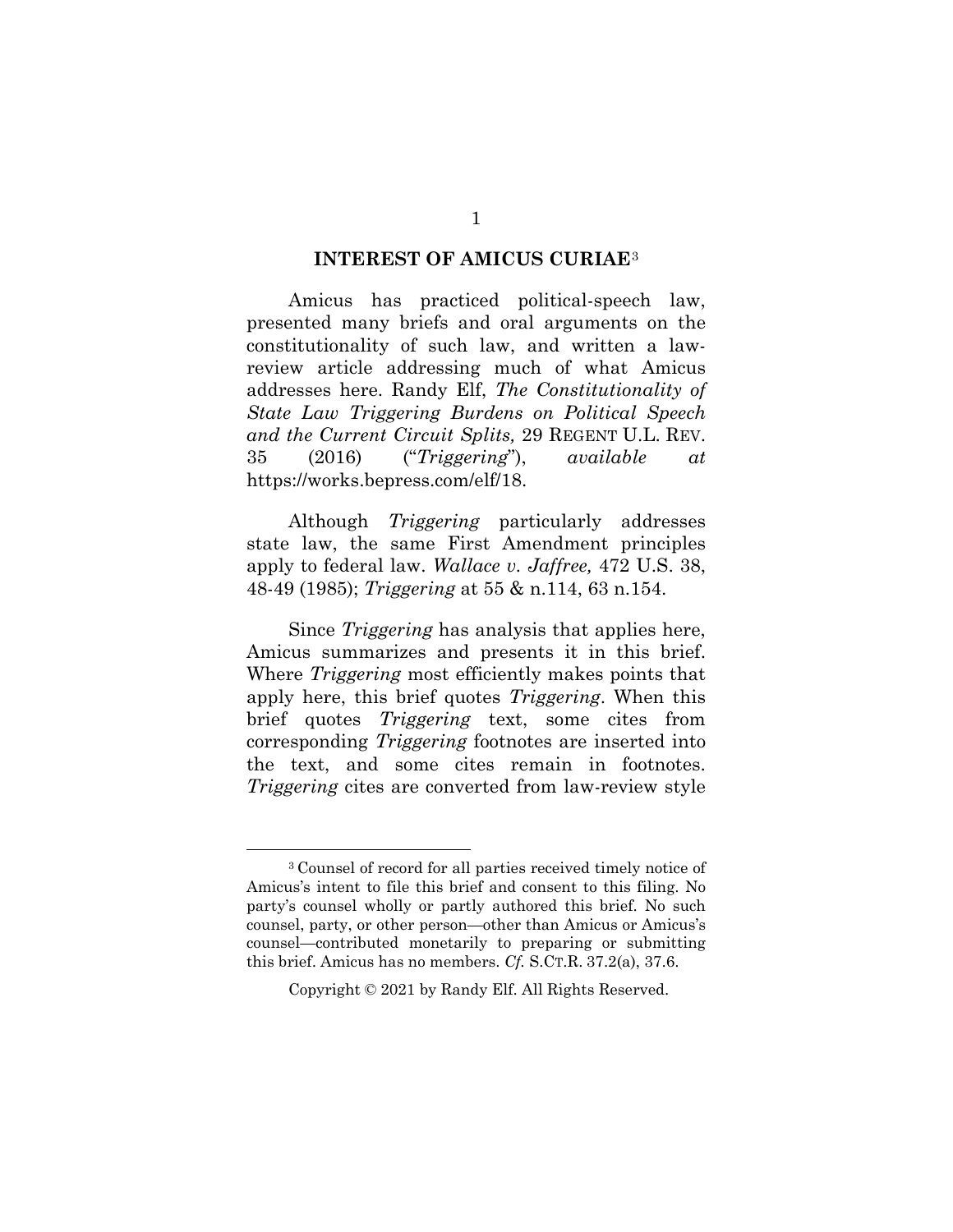#### **INTEREST OF AMICUS CURIAE**[3](#page-6-1)

<span id="page-6-0"></span>Amicus has practiced political-speech law, presented many briefs and oral arguments on the constitutionality of such law, and written a lawreview article addressing much of what Amicus addresses here. Randy Elf, *The Constitutionality of State Law Triggering Burdens on Political Speech and the Current Circuit Splits,* 29 REGENT U.L. REV. 35 (2016) ("*Triggering*"), *available at* https://works.bepress.com/elf/18.

Although *Triggering* particularly addresses state law, the same First Amendment principles apply to federal law. *Wallace v. Jaffree,* 472 U.S. 38, 48-49 (1985); *Triggering* at 55 & n.114, 63 n.154.

Since *Triggering* has analysis that applies here, Amicus summarizes and presents it in this brief. Where *Triggering* most efficiently makes points that apply here, this brief quotes *Triggering*. When this brief quotes *Triggering* text, some cites from corresponding *Triggering* footnotes are inserted into the text, and some cites remain in footnotes. *Triggering* cites are converted from law-review style

<span id="page-6-1"></span> <sup>3</sup> Counsel of record for all parties received timely notice of Amicus's intent to file this brief and consent to this filing. No party's counsel wholly or partly authored this brief. No such counsel, party, or other person—other than Amicus or Amicus's counsel—contributed monetarily to preparing or submitting this brief. Amicus has no members. *Cf.* S.CT.R. 37.2(a), 37.6.

Copyright © 2021 by Randy Elf. All Rights Reserved.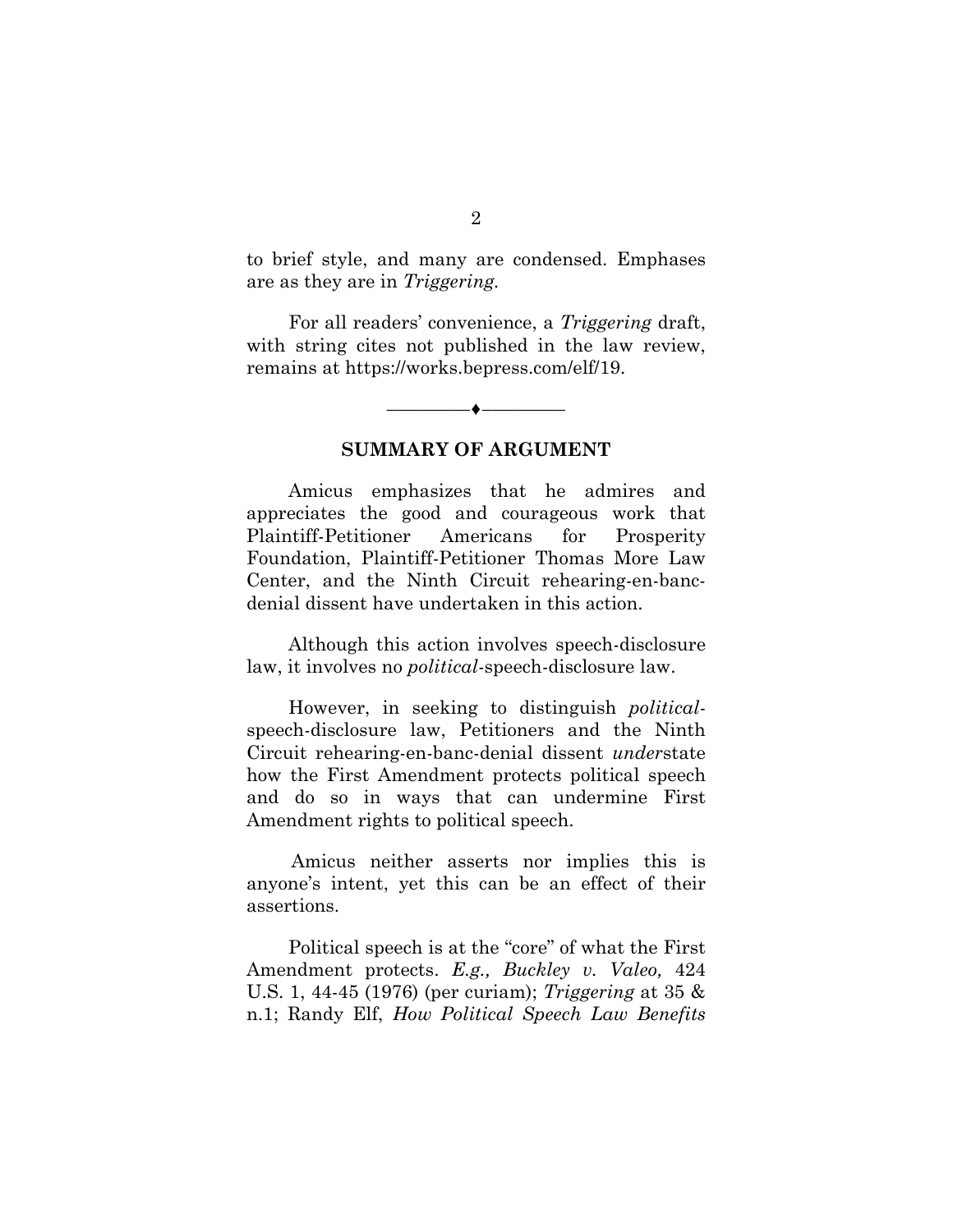to brief style, and many are condensed. Emphases are as they are in *Triggering.*

For all readers' convenience, a *Triggering* draft, with string cites not published in the law review, remains at https://works.bepress.com/elf/19.

## **SUMMARY OF ARGUMENT**

––––––––♦––––––––

<span id="page-7-0"></span>Amicus emphasizes that he admires and appreciates the good and courageous work that Plaintiff-Petitioner Americans for Prosperity Foundation, Plaintiff-Petitioner Thomas More Law Center, and the Ninth Circuit rehearing-en-bancdenial dissent have undertaken in this action.

Although this action involves speech-disclosure law, it involves no *political-*speech-disclosure law.

However, in seeking to distinguish *political*speech-disclosure law, Petitioners and the Ninth Circuit rehearing-en-banc-denial dissent *under*state how the First Amendment protects political speech and do so in ways that can undermine First Amendment rights to political speech.

Amicus neither asserts nor implies this is anyone's intent, yet this can be an effect of their assertions.

Political speech is at the "core" of what the First Amendment protects. *E.g., Buckley v. Valeo,* 424 U.S. 1, 44-45 (1976) (per curiam); *Triggering* at 35 & n.1; Randy Elf, *How Political Speech Law Benefits*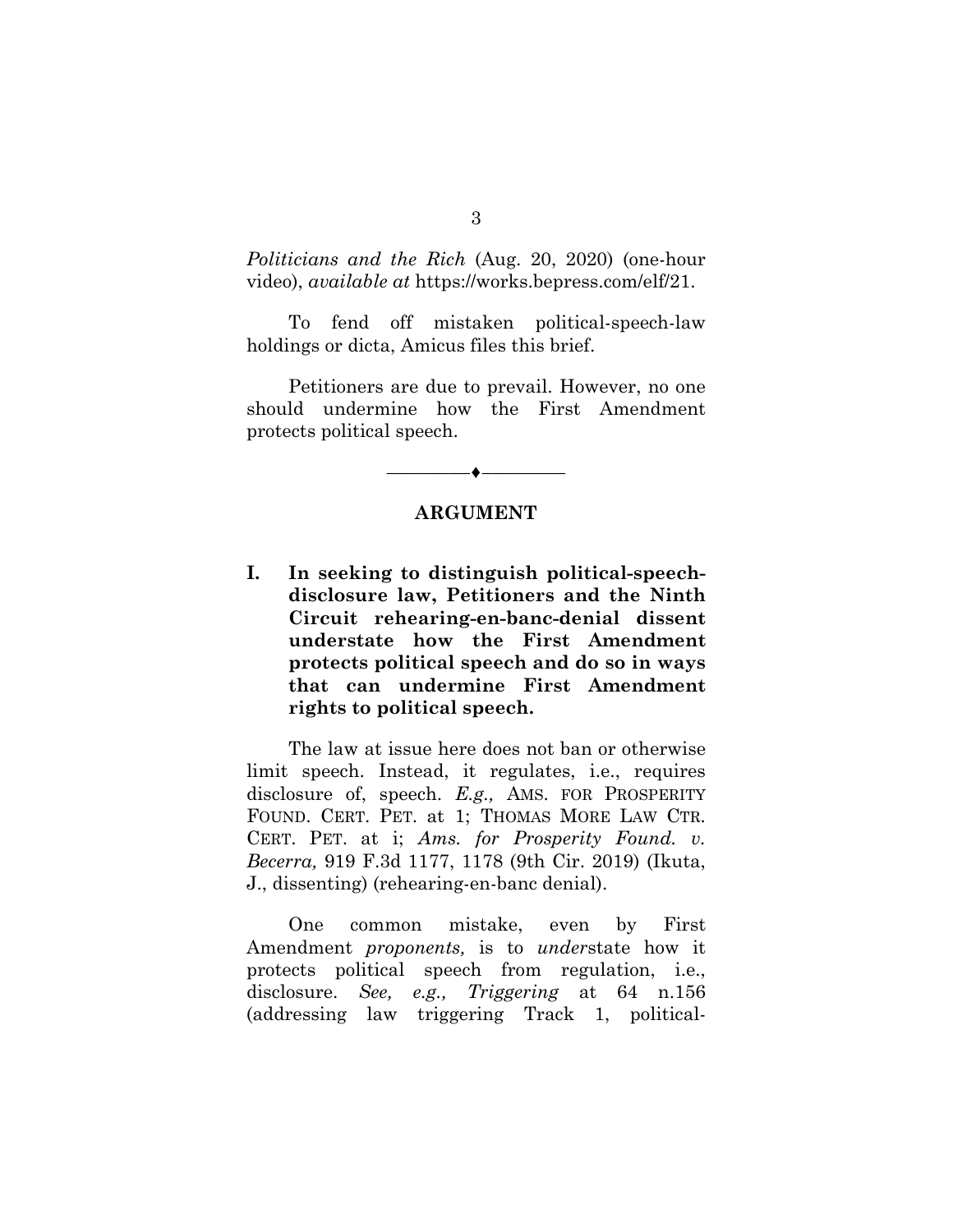*Politicians and the Rich* (Aug. 20, 2020) (one-hour video), *available at* https://works.bepress.com/elf/21.

To fend off mistaken political-speech-law holdings or dicta, Amicus files this brief.

Petitioners are due to prevail. However, no one should undermine how the First Amendment protects political speech.

## **ARGUMENT**

––––––––♦––––––––

<span id="page-8-1"></span><span id="page-8-0"></span>**I. In seeking to distinguish political-speechdisclosure law, Petitioners and the Ninth Circuit rehearing-en-banc-denial dissent understate how the First Amendment protects political speech and do so in ways that can undermine First Amendment rights to political speech.**

The law at issue here does not ban or otherwise limit speech. Instead, it regulates, i.e., requires disclosure of, speech. *E.g.,* AMS. FOR PROSPERITY FOUND. CERT. PET. at 1; THOMAS MORE LAW CTR. CERT. PET. at i; *Ams. for Prosperity Found. v. Becerra,* 919 F.3d 1177, 1178 (9th Cir. 2019) (Ikuta, J., dissenting) (rehearing-en-banc denial).

One common mistake, even by First Amendment *proponents,* is to *under*state how it protects political speech from regulation, i.e., disclosure. *See, e.g., Triggering* at 64 n.156 (addressing law triggering Track 1, political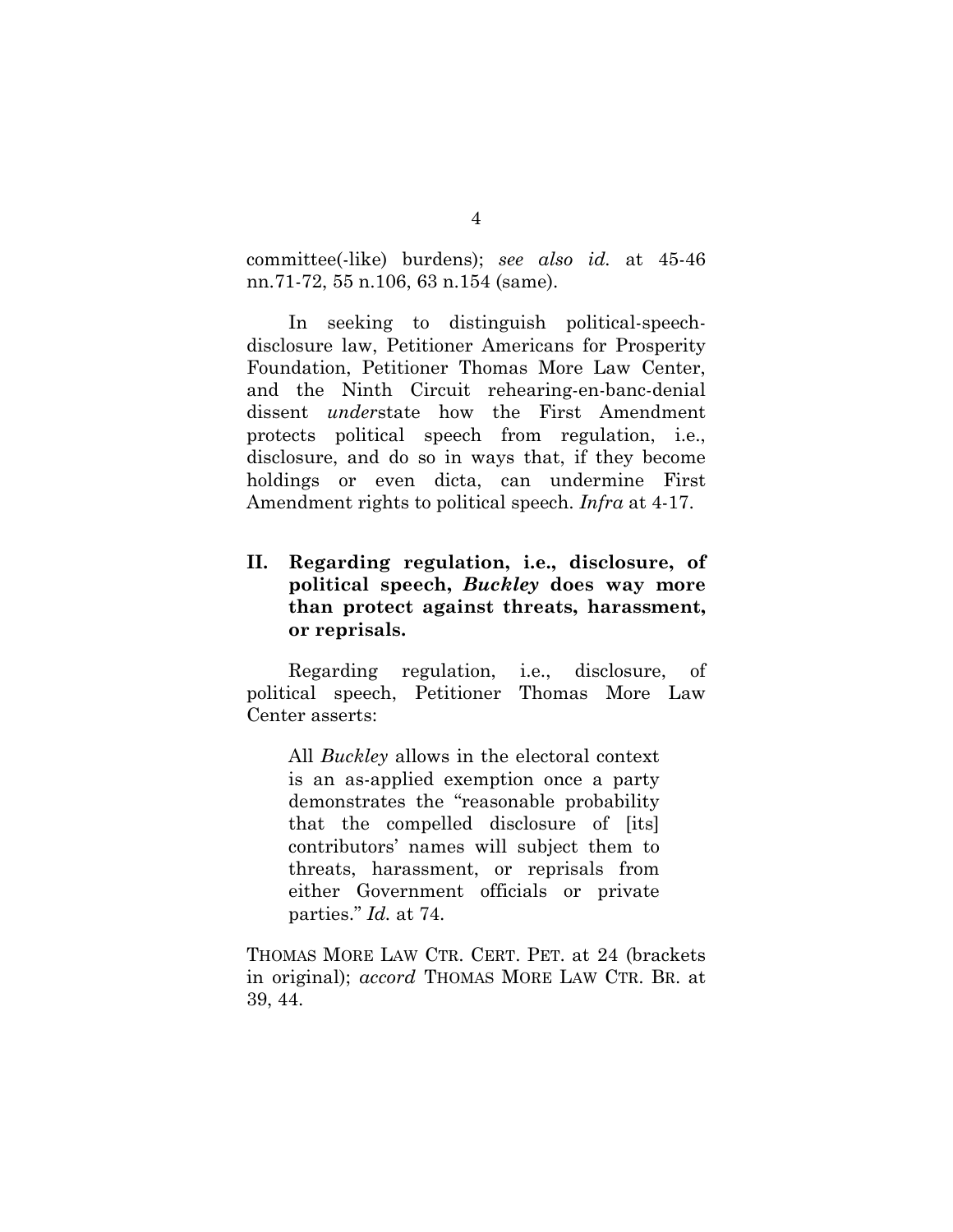committee(-like) burdens); *see also id.* at 45-46 nn.71-72, 55 n.106, 63 n.154 (same).

In seeking to distinguish political-speechdisclosure law, Petitioner Americans for Prosperity Foundation, Petitioner Thomas More Law Center, and the Ninth Circuit rehearing-en-banc-denial dissent *under*state how the First Amendment protects political speech from regulation, i.e., disclosure, and do so in ways that, if they become holdings or even dicta, can undermine First Amendment rights to political speech. *Infra* at 4-17.

# <span id="page-9-0"></span>**II. Regarding regulation, i.e., disclosure, of political speech,** *Buckley* **does way more than protect against threats, harassment, or reprisals.**

Regarding regulation, i.e., disclosure, of political speech, Petitioner Thomas More Law Center asserts:

All *Buckley* allows in the electoral context is an as-applied exemption once a party demonstrates the "reasonable probability that the compelled disclosure of [its] contributors' names will subject them to threats, harassment, or reprisals from either Government officials or private parties." *Id.* at 74.

THOMAS MORE LAW CTR. CERT. PET. at 24 (brackets in original); *accord* THOMAS MORE LAW CTR. BR. at 39, 44.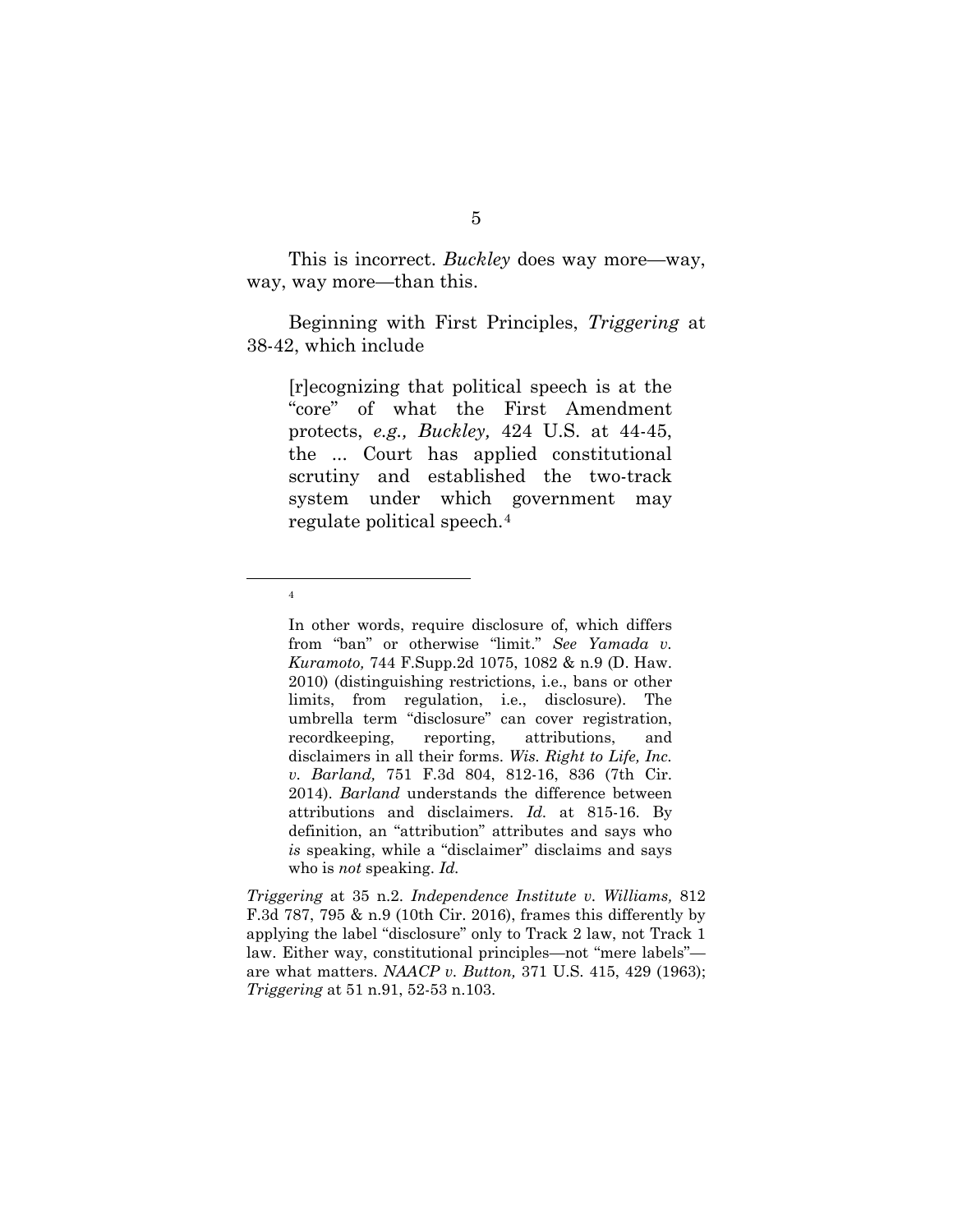This is incorrect. *Buckley* does way more—way, way, way more—than this.

Beginning with First Principles, *Triggering* at 38-42, which include

[r]ecognizing that political speech is at the "core" of what the First Amendment protects, *e.g., Buckley,* 424 U.S. at 44-45, the ... Court has applied constitutional scrutiny and established the two-track system under which government may regulate political speech.[4](#page-10-0)

<span id="page-10-0"></span>4

In other words, require disclosure of, which differs from "ban" or otherwise "limit." *See Yamada v. Kuramoto,* 744 F.Supp.2d 1075, 1082 & n.9 (D. Haw. 2010) (distinguishing restrictions, i.e., bans or other limits, from regulation, i.e., disclosure). The umbrella term "disclosure" can cover registration, recordkeeping, reporting, attributions, and disclaimers in all their forms. *Wis. Right to Life, Inc. v. Barland,* 751 F.3d 804, 812-16, 836 (7th Cir. 2014). *Barland* understands the difference between attributions and disclaimers. *Id.* at 815-16. By definition, an "attribution" attributes and says who *is* speaking, while a "disclaimer" disclaims and says who is *not* speaking. *Id.*

*Triggering* at 35 n.2. *Independence Institute v. Williams,* 812 F.3d 787, 795 & n.9 (10th Cir. 2016), frames this differently by applying the label "disclosure" only to Track 2 law, not Track 1 law. Either way, constitutional principles—not "mere labels" are what matters. *NAACP v. Button,* 371 U.S. 415, 429 (1963); *Triggering* at 51 n.91, 52-53 n.103.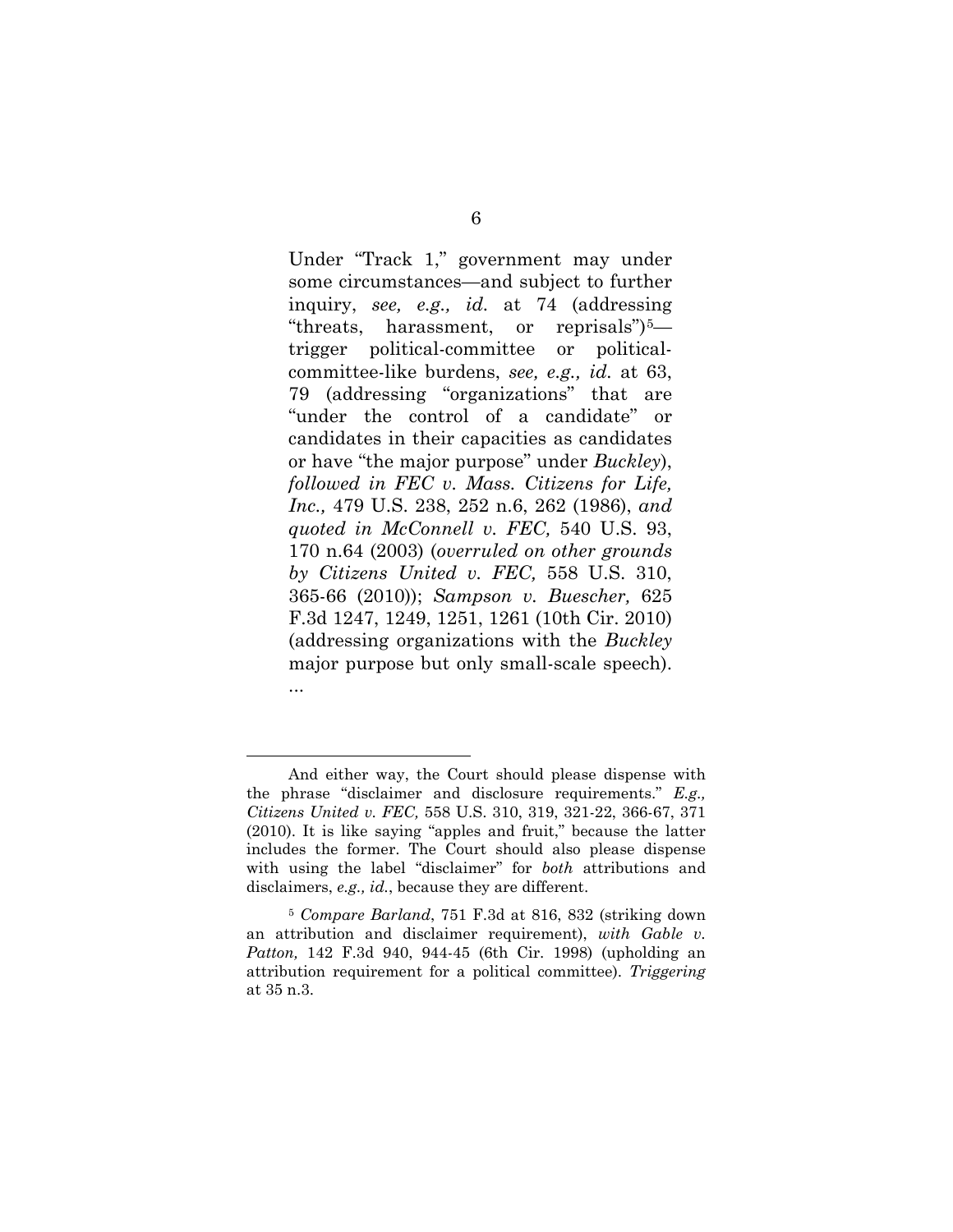Under "Track 1," government may under some circumstances—and subject to further inquiry, *see, e.g., id.* at 74 (addressing "threats, harassment, or reprisals")[5](#page-11-0) trigger political-committee or politicalcommittee-like burdens, *see, e.g., id.* at 63, 79 (addressing "organizations" that are "under the control of a candidate" or candidates in their capacities as candidates or have "the major purpose" under *Buckley*), *followed in FEC v. Mass. Citizens for Life, Inc.,* 479 U.S. 238, 252 n.6, 262 (1986), *and quoted in McConnell v. FEC,* 540 U.S. 93, 170 n.64 (2003) (*overruled on other grounds by Citizens United v. FEC,* 558 U.S. 310, 365-66 (2010)); *Sampson v. Buescher,* 625 F.3d 1247, 1249, 1251, 1261 (10th Cir. 2010) (addressing organizations with the *Buckley* major purpose but only small-scale speech). ...

l

And either way, the Court should please dispense with the phrase "disclaimer and disclosure requirements." *E.g., Citizens United v. FEC,* 558 U.S. 310, 319, 321-22, 366-67, 371 (2010). It is like saying "apples and fruit," because the latter includes the former. The Court should also please dispense with using the label "disclaimer" for *both* attributions and disclaimers, *e.g., id.*, because they are different.

<span id="page-11-0"></span><sup>5</sup> *Compare Barland*, 751 F.3d at 816, 832 (striking down an attribution and disclaimer requirement), *with Gable v. Patton,* 142 F.3d 940, 944-45 (6th Cir. 1998) (upholding an attribution requirement for a political committee). *Triggering*  at 35 n.3.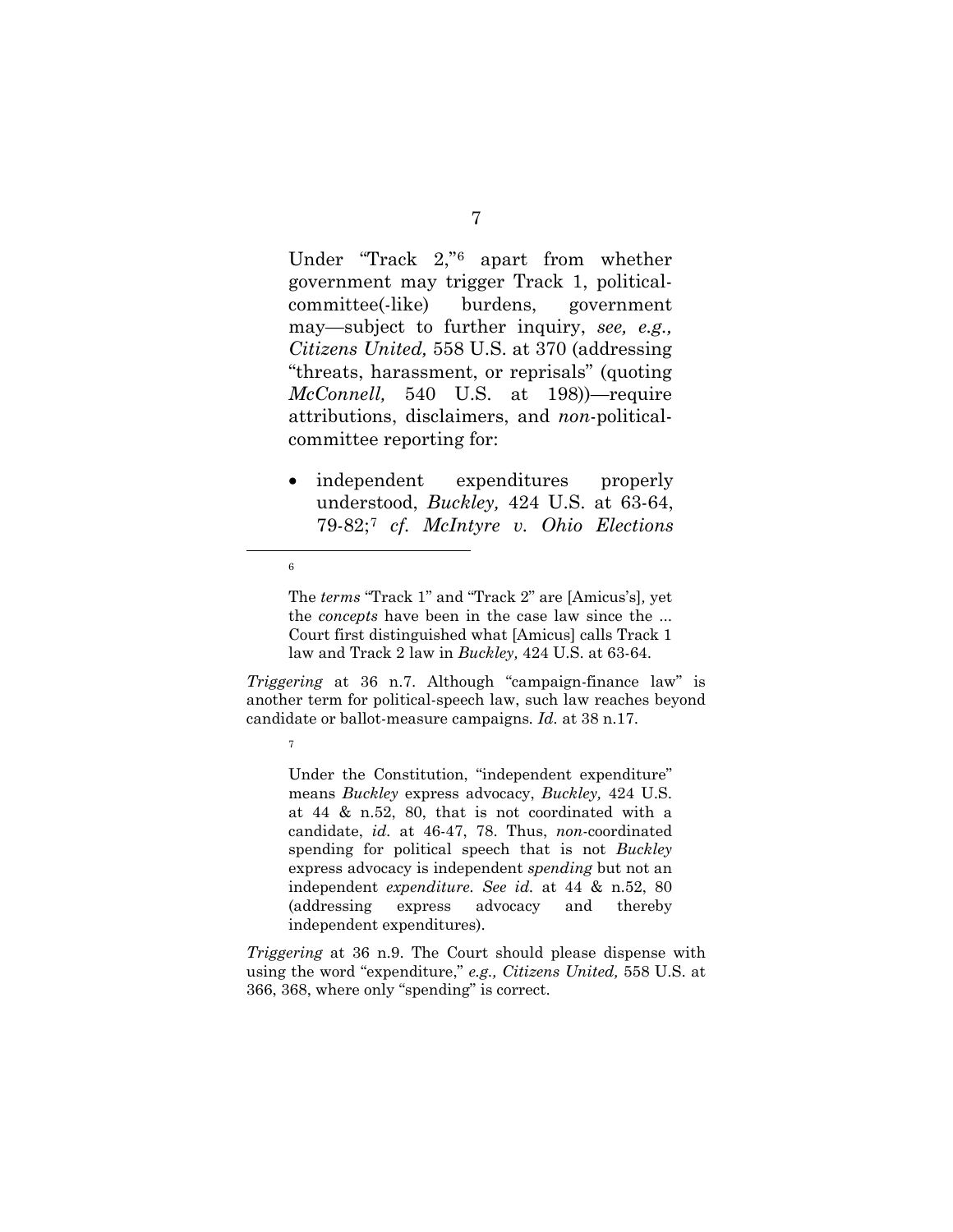Under "Track 2,"[6](#page-12-0) apart from whether government may trigger Track 1, politicalcommittee(-like) burdens, government may—subject to further inquiry, *see, e.g., Citizens United,* 558 U.S. at 370 (addressing "threats, harassment, or reprisals" (quoting *McConnell,* 540 U.S. at 198))—require attributions, disclaimers, and *non*-politicalcommittee reporting for:

• independent expenditures properly understood, *Buckley,* 424 U.S. at 63-64, 79-82;[7](#page-12-1) *cf. McIntyre v. Ohio Elections* 

<span id="page-12-0"></span>6

7

The *terms* "Track 1" and "Track 2" are [Amicus's]*,* yet the *concepts* have been in the case law since the ... Court first distinguished what [Amicus] calls Track 1 law and Track 2 law in *Buckley,* 424 U.S. at 63-64.

<span id="page-12-1"></span>*Triggering* at 36 n.7. Although "campaign-finance law" is another term for political-speech law, such law reaches beyond candidate or ballot-measure campaigns*. Id.* at 38 n.17.

Under the Constitution, "independent expenditure" means *Buckley* express advocacy, *Buckley,* 424 U.S. at 44 & n.52, 80, that is not coordinated with a candidate, *id.* at 46-47, 78. Thus, *non*-coordinated spending for political speech that is not *Buckley*  express advocacy is independent *spending* but not an independent *expenditure. See id.* at 44 & n.52, 80 (addressing express advocacy and thereby independent expenditures).

*Triggering* at 36 n.9. The Court should please dispense with using the word "expenditure," *e.g., Citizens United,* 558 U.S. at 366, 368, where only "spending" is correct.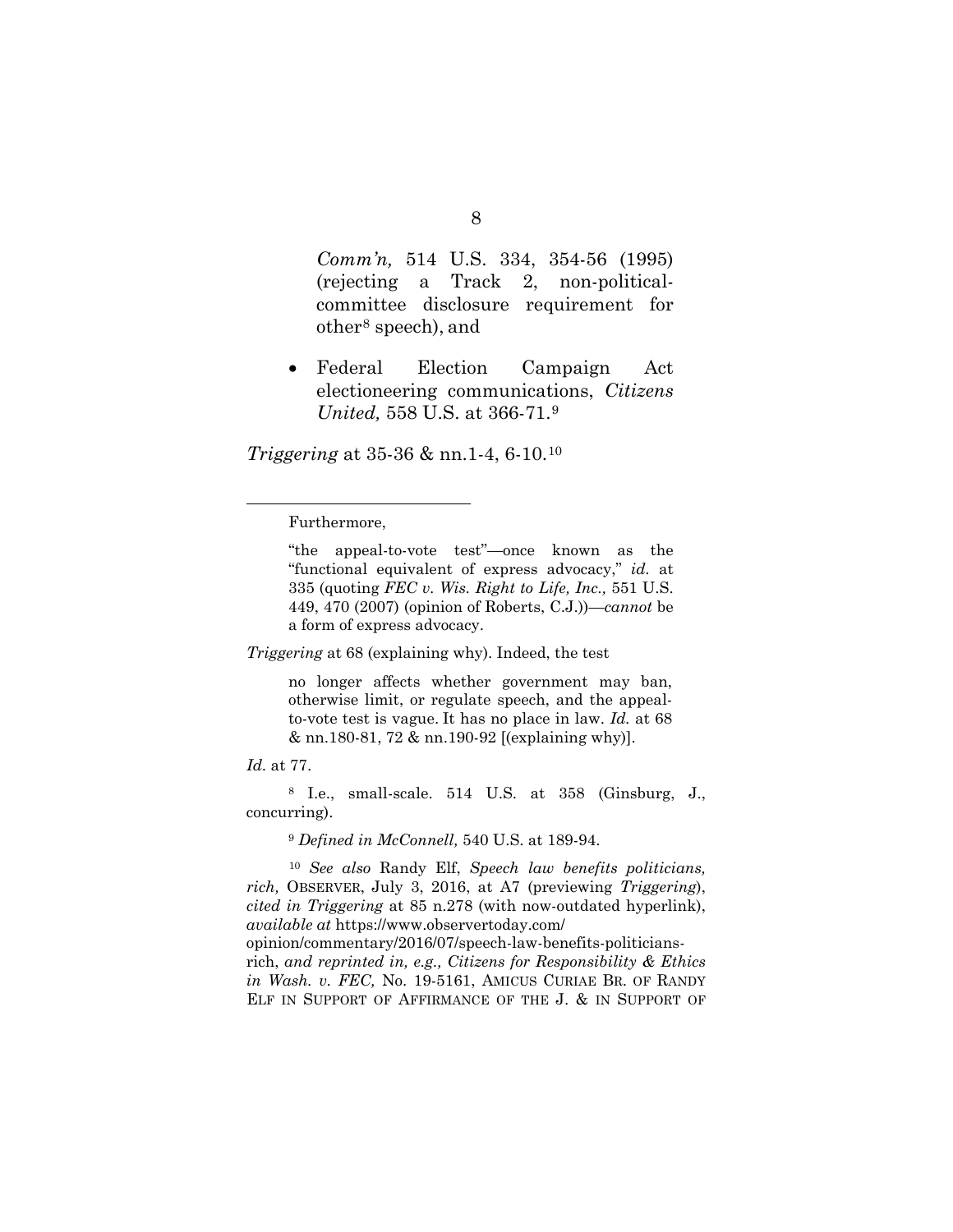*Comm'n,* 514 U.S. 334, 354-56 (1995) (rejecting a Track 2, non-politicalcommittee disclosure requirement for other[8](#page-13-0) speech), and

• Federal Election Campaign Act electioneering communications, *Citizens United,* 558 U.S. at 366-71.[9](#page-13-1)

*Triggering* at 35-36 & nn.1-4, 6-10.[10](#page-13-2)

Furthermore,

"the appeal-to-vote test"—once known as the "functional equivalent of express advocacy," *id.* at 335 (quoting *FEC v. Wis. Right to Life, Inc.,* 551 U.S. 449, 470 (2007) (opinion of Roberts, C.J.))—*cannot* be a form of express advocacy.

*Triggering* at 68 (explaining why). Indeed, the test

no longer affects whether government may ban, otherwise limit, or regulate speech, and the appealto-vote test is vague. It has no place in law. *Id.* at 68 & nn.180-81, 72 & nn.190-92 [(explaining why)].

*Id.* at 77.

 $\overline{a}$ 

<span id="page-13-0"></span><sup>8</sup> I.e., small-scale. 514 U.S. at 358 (Ginsburg, J., concurring).

<sup>9</sup> *Defined in McConnell,* 540 U.S. at 189-94.

<span id="page-13-2"></span><span id="page-13-1"></span><sup>10</sup> *See also* Randy Elf, *Speech law benefits politicians, rich,* OBSERVER, July 3, 2016, at A7 (previewing *Triggering*), *cited in Triggering* at 85 n.278 (with now-outdated hyperlink), *available at* https://www.observertoday.com/ opinion/commentary/2016/07/speech-law-benefits-politiciansrich, *and reprinted in, e.g., Citizens for Responsibility & Ethics in Wash. v. FEC,* No. 19-5161, AMICUS CURIAE BR. OF RANDY ELF IN SUPPORT OF AFFIRMANCE OF THE J. & IN SUPPORT OF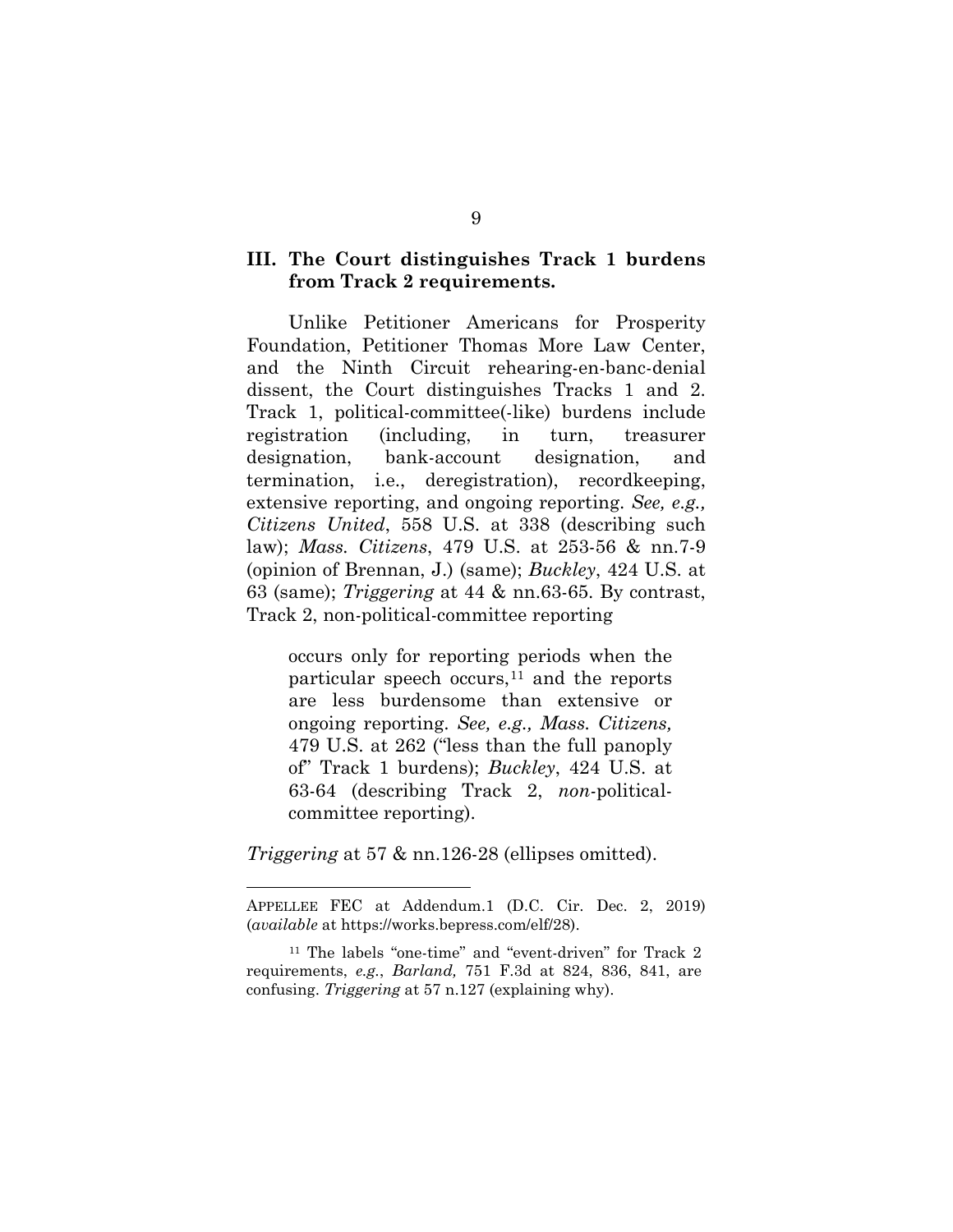## <span id="page-14-0"></span>**III. The Court distinguishes Track 1 burdens from Track 2 requirements.**

Unlike Petitioner Americans for Prosperity Foundation, Petitioner Thomas More Law Center, and the Ninth Circuit rehearing-en-banc-denial dissent, the Court distinguishes Tracks 1 and 2. Track 1, political-committee(-like) burdens include registration (including, in turn, treasurer designation, bank-account designation, and termination, i.e., deregistration), recordkeeping, extensive reporting, and ongoing reporting. *See, e.g., Citizens United*, 558 U.S. at 338 (describing such law); *Mass. Citizens*, 479 U.S. at 253-56 & nn.7-9 (opinion of Brennan, J.) (same); *Buckley*, 424 U.S. at 63 (same); *Triggering* at 44 & nn.63-65. By contrast, Track 2, non*-*political-committee reporting

occurs only for reporting periods when the particular speech occurs,  $11$  and the reports are less burdensome than extensive or ongoing reporting. *See, e.g., Mass. Citizens,*  479 U.S. at 262 ("less than the full panoply of" Track 1 burdens); *Buckley*, 424 U.S. at 63-64 (describing Track 2, *non-*politicalcommittee reporting).

*Triggering* at 57 & nn.126-28 (ellipses omitted).

 $\overline{a}$ 

APPELLEE FEC at Addendum.1 (D.C. Cir. Dec. 2, 2019) (*available* at https://works.bepress.com/elf/28).

<span id="page-14-1"></span><sup>11</sup> The labels "one-time" and "event-driven" for Track 2 requirements, *e.g.*, *Barland,* 751 F.3d at 824, 836, 841, are confusing. *Triggering* at 57 n.127 (explaining why).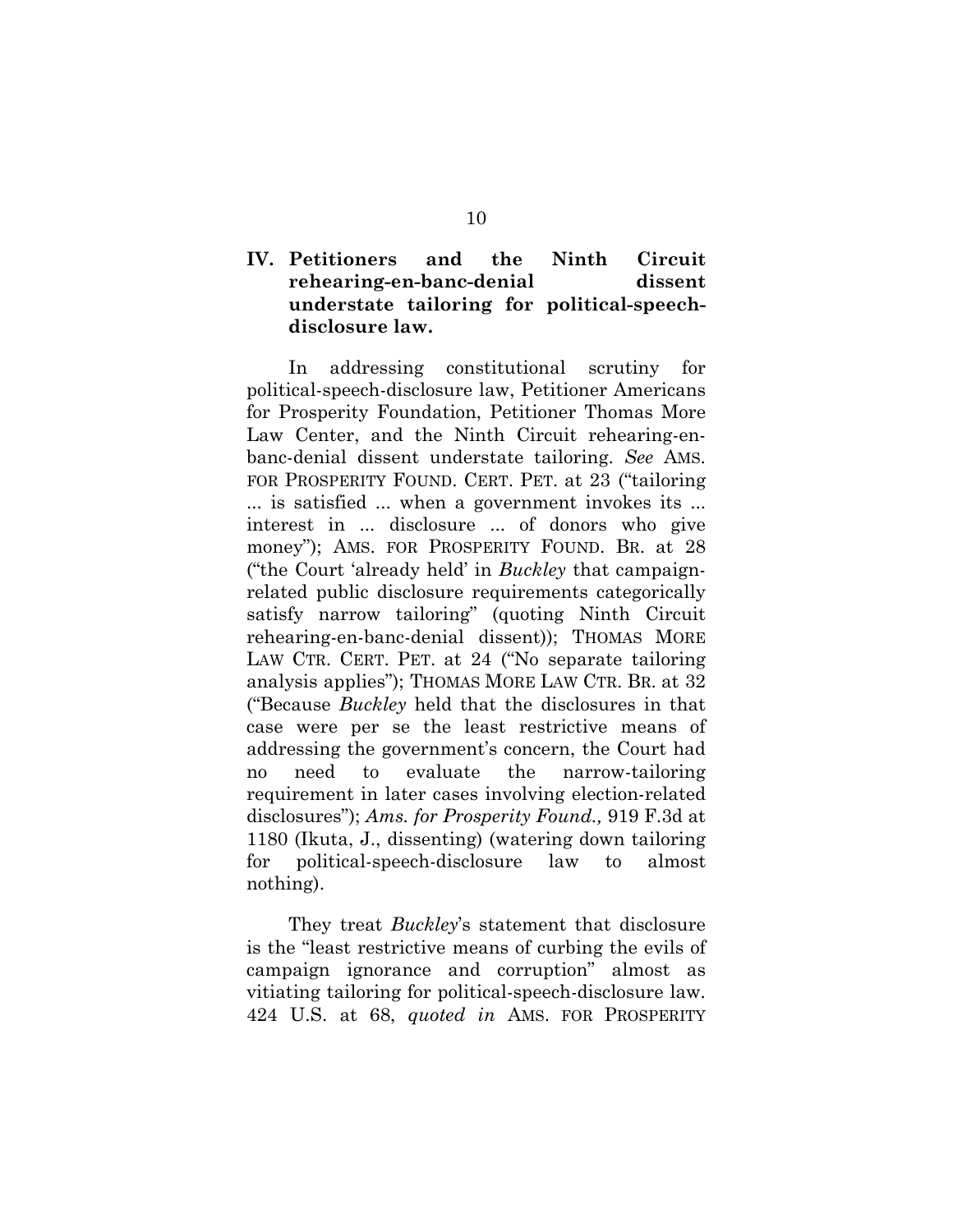## <span id="page-15-0"></span>**IV. Petitioners and the Ninth Circuit rehearing-en-banc-denial dissent understate tailoring for political-speechdisclosure law.**

In addressing constitutional scrutiny for political-speech-disclosure law, Petitioner Americans for Prosperity Foundation, Petitioner Thomas More Law Center, and the Ninth Circuit rehearing-enbanc-denial dissent understate tailoring. *See* AMS. FOR PROSPERITY FOUND. CERT. PET. at 23 ("tailoring ... is satisfied ... when a government invokes its ... interest in ... disclosure ... of donors who give money"); AMS. FOR PROSPERITY FOUND. BR. at 28 ("the Court 'already held' in *Buckley* that campaignrelated public disclosure requirements categorically satisfy narrow tailoring" (quoting Ninth Circuit rehearing-en-banc-denial dissent)); THOMAS MORE LAW CTR. CERT. PET. at 24 ("No separate tailoring analysis applies"); THOMAS MORE LAW CTR. BR. at 32 ("Because *Buckley* held that the disclosures in that case were per se the least restrictive means of addressing the government's concern, the Court had no need to evaluate the narrow-tailoring requirement in later cases involving election-related disclosures"); *Ams. for Prosperity Found.,* 919 F.3d at 1180 (Ikuta, J., dissenting) (watering down tailoring for political-speech-disclosure law to almost nothing).

They treat *Buckley*'s statement that disclosure is the "least restrictive means of curbing the evils of campaign ignorance and corruption" almost as vitiating tailoring for political-speech-disclosure law. 424 U.S. at 68, *quoted in* AMS. FOR PROSPERITY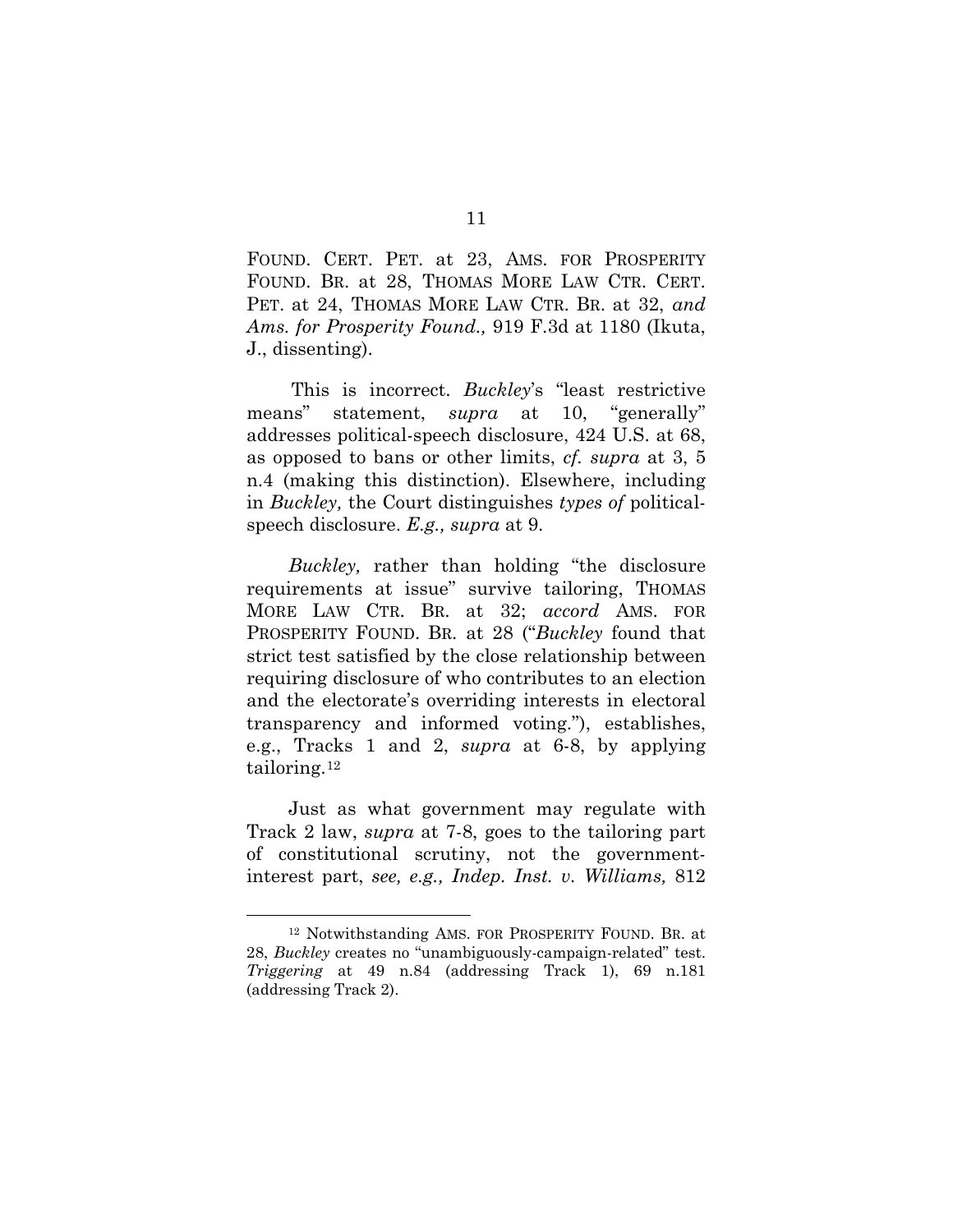FOUND. CERT. PET. at 23, AMS. FOR PROSPERITY FOUND. BR. at 28, THOMAS MORE LAW CTR. CERT. PET. at 24, THOMAS MORE LAW CTR. BR. at 32, *and Ams. for Prosperity Found.,* 919 F.3d at 1180 (Ikuta, J., dissenting).

This is incorrect. *Buckley*'s "least restrictive means" statement, *supra* at 10, "generally" addresses political-speech disclosure, 424 U.S. at 68, as opposed to bans or other limits, *cf. supra* at 3, 5 n.4 (making this distinction). Elsewhere, including in *Buckley,* the Court distinguishes *types of* politicalspeech disclosure. *E.g., supra* at 9.

*Buckley,* rather than holding "the disclosure requirements at issue" survive tailoring, THOMAS MORE LAW CTR. BR. at 32; *accord* AMS. FOR PROSPERITY FOUND. BR. at 28 ("*Buckley* found that strict test satisfied by the close relationship between requiring disclosure of who contributes to an election and the electorate's overriding interests in electoral transparency and informed voting."), establishes, e.g., Tracks 1 and 2, *supra* at 6-8, by applying tailoring.[12](#page-16-0)

Just as what government may regulate with Track 2 law, *supra* at 7-8, goes to the tailoring part of constitutional scrutiny, not the governmentinterest part, *see, e.g., Indep. Inst. v. Williams,* 812

<span id="page-16-0"></span> <sup>12</sup> Notwithstanding AMS. FOR PROSPERITY FOUND. BR. at 28, *Buckley* creates no "unambiguously-campaign-related" test. *Triggering* at 49 n.84 (addressing Track 1), 69 n.181 (addressing Track 2).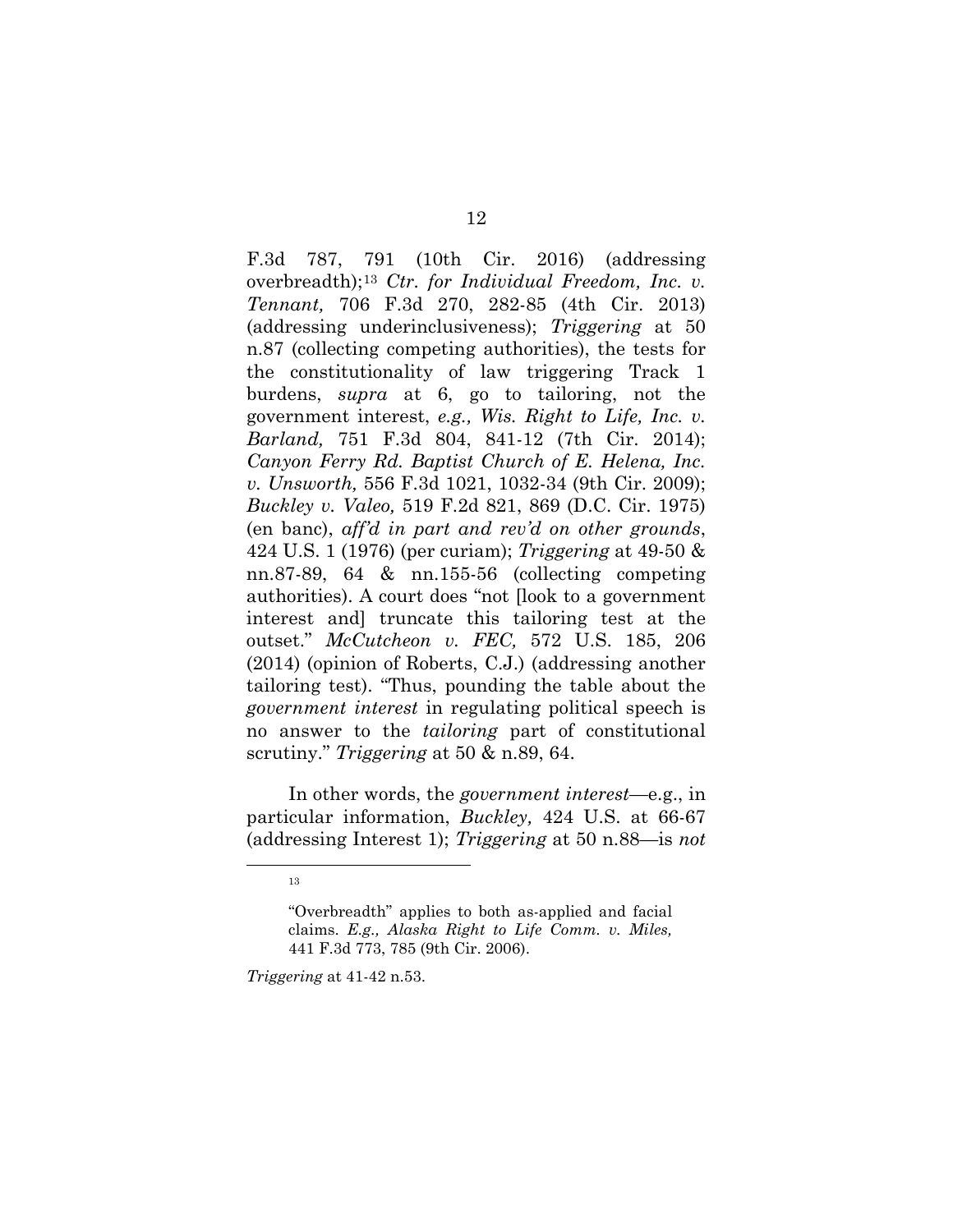F.3d 787, 791 (10th Cir. 2016) (addressing overbreadth);[13](#page-17-0) *Ctr. for Individual Freedom, Inc. v. Tennant,* 706 F.3d 270, 282-85 (4th Cir. 2013) (addressing underinclusiveness); *Triggering* at 50 n.87 (collecting competing authorities), the tests for the constitutionality of law triggering Track 1 burdens, *supra* at 6, go to tailoring, not the government interest, *e.g., Wis. Right to Life, Inc. v. Barland,* 751 F.3d 804, 841-12 (7th Cir. 2014); *Canyon Ferry Rd. Baptist Church of E. Helena, Inc. v. Unsworth,* 556 F.3d 1021, 1032-34 (9th Cir. 2009); *Buckley v. Valeo,* 519 F.2d 821, 869 (D.C. Cir. 1975) (en banc), *aff'd in part and rev'd on other grounds*, 424 U.S. 1 (1976) (per curiam); *Triggering* at 49-50 & nn.87-89, 64 & nn.155-56 (collecting competing authorities). A court does "not [look to a government interest and] truncate this tailoring test at the outset." *McCutcheon v. FEC,* 572 U.S. 185, 206 (2014) (opinion of Roberts, C.J.) (addressing another tailoring test). "Thus, pounding the table about the *government interest* in regulating political speech is no answer to the *tailoring* part of constitutional scrutiny." *Triggering* at 50 & n.89, 64.

In other words, the *government interest*—e.g., in particular information, *Buckley,* 424 U.S. at 66-67 (addressing Interest 1); *Triggering* at 50 n.88—is *not*

*Triggering* at 41-42 n.53.

<span id="page-17-0"></span><sup>&</sup>lt;u>13</u>

<sup>&</sup>quot;Overbreadth" applies to both as-applied and facial claims. *E.g., Alaska Right to Life Comm. v. Miles,*  441 F.3d 773, 785 (9th Cir. 2006).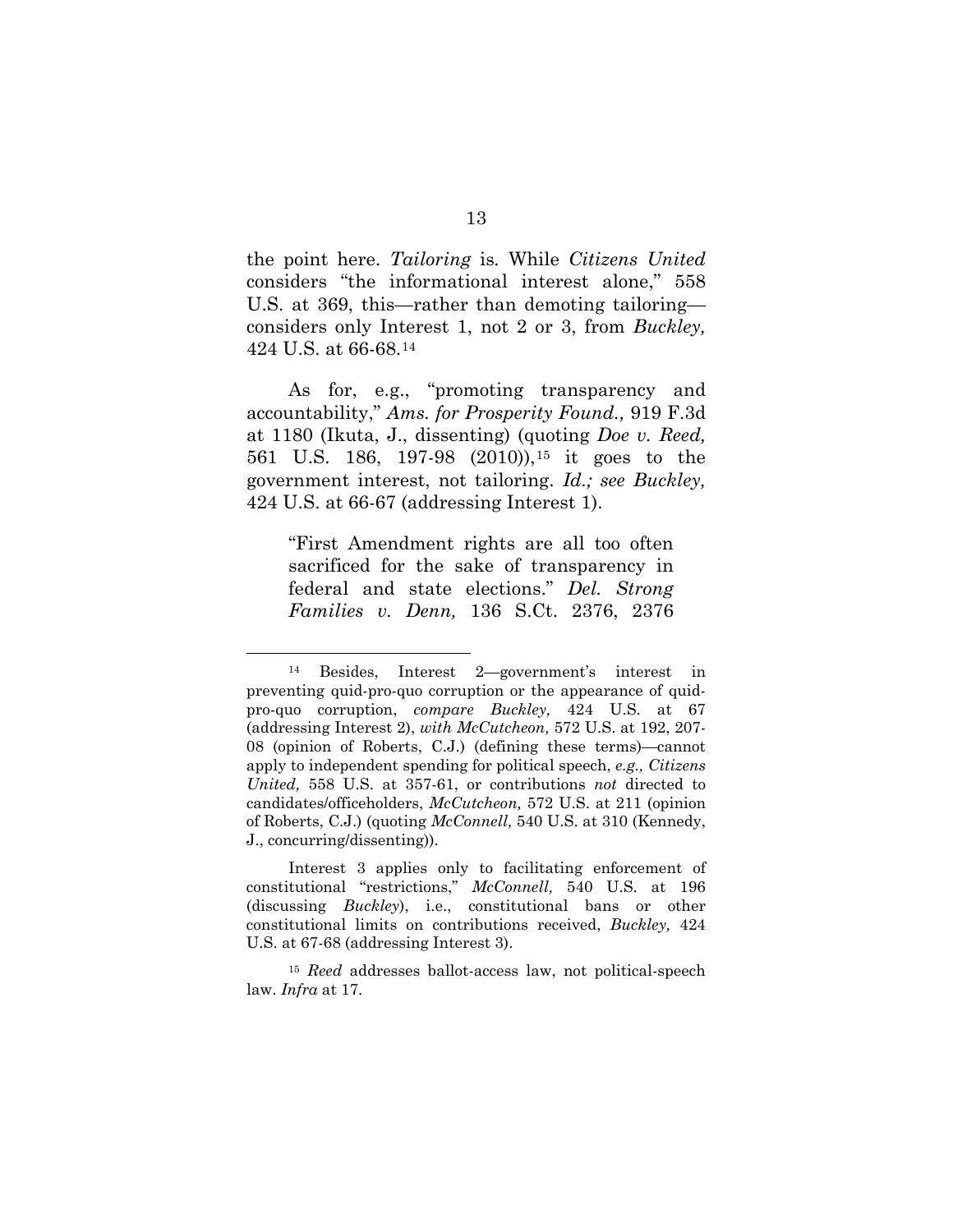the point here. *Tailoring* is*.* While *Citizens United*  considers "the informational interest alone," 558 U.S. at 369, this—rather than demoting tailoring considers only Interest 1, not 2 or 3, from *Buckley,*  424 U.S. at 66-68.[14](#page-18-0)

As for, e.g., "promoting transparency and accountability," *Ams. for Prosperity Found.,* 919 F.3d at 1180 (Ikuta, J., dissenting) (quoting *Doe v. Reed,*  561 U.S. 186, 197-98 (2010)),[15](#page-18-1) it goes to the government interest, not tailoring. *Id.; see Buckley,*  424 U.S. at 66-67 (addressing Interest 1).

"First Amendment rights are all too often sacrificed for the sake of transparency in federal and state elections." *Del. Strong Families v. Denn,* 136 S.Ct. 2376, 2376

<span id="page-18-0"></span> <sup>14</sup> Besides, Interest 2—government's interest in preventing quid-pro-quo corruption or the appearance of quidpro-quo corruption, *compare Buckley,* 424 U.S. at 67 (addressing Interest 2), *with McCutcheon,* 572 U.S. at 192, 207- 08 (opinion of Roberts, C.J.) (defining these terms)—cannot apply to independent spending for political speech, *e.g., Citizens United,* 558 U.S. at 357-61, or contributions *not* directed to candidates/officeholders, *McCutcheon,* 572 U.S. at 211 (opinion of Roberts, C.J.) (quoting *McConnell,* 540 U.S. at 310 (Kennedy, J., concurring/dissenting)).

Interest 3 applies only to facilitating enforcement of constitutional "restrictions," *McConnell,* 540 U.S. at 196 (discussing *Buckley*), i.e., constitutional bans or other constitutional limits on contributions received, *Buckley,* 424 U.S. at 67-68 (addressing Interest 3).

<span id="page-18-1"></span><sup>15</sup> *Reed* addresses ballot-access law, not political-speech law. *Infra* at 17.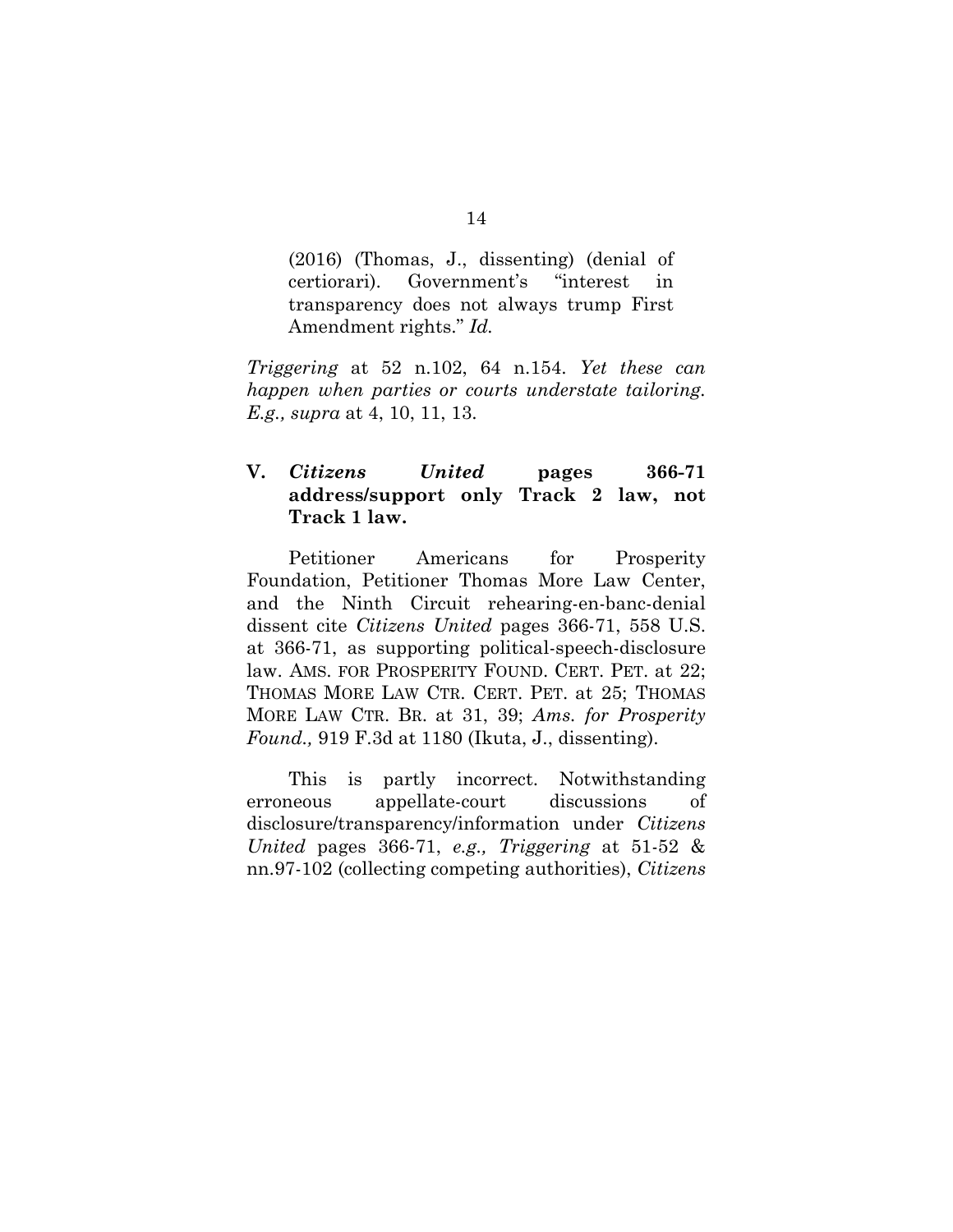(2016) (Thomas, J., dissenting) (denial of certiorari). Government's "interest in transparency does not always trump First Amendment rights." *Id.*

*Triggering* at 52 n.102, 64 n.154. *Yet these can happen when parties or courts understate tailoring. E.g., supra* at 4, 10, 11, 13.

# <span id="page-19-0"></span>**V.** *Citizens United* **pages 366-71 address/support only Track 2 law, not Track 1 law.**

Petitioner Americans for Prosperity Foundation, Petitioner Thomas More Law Center, and the Ninth Circuit rehearing-en-banc-denial dissent cite *Citizens United* pages 366-71, 558 U.S. at 366-71, as supporting political-speech-disclosure law. AMS. FOR PROSPERITY FOUND. CERT. PET. at 22; THOMAS MORE LAW CTR. CERT. PET. at 25; THOMAS MORE LAW CTR. BR. at 31, 39; *Ams. for Prosperity Found.,* 919 F.3d at 1180 (Ikuta, J., dissenting).

This is partly incorrect. Notwithstanding erroneous appellate-court discussions of disclosure/transparency/information under *Citizens United* pages 366-71, *e.g., Triggering* at 51-52 & nn.97-102 (collecting competing authorities), *Citizens*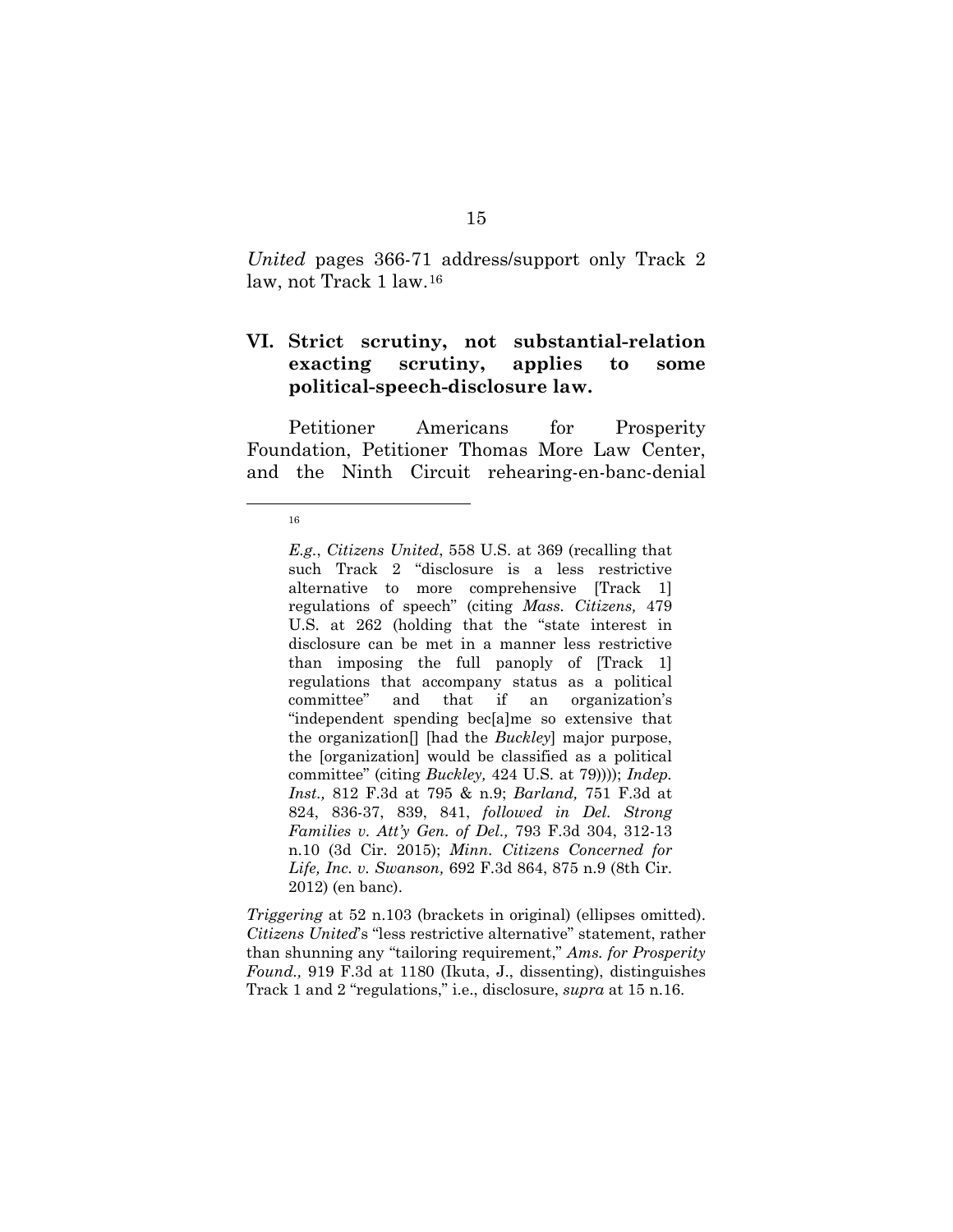*United* pages 366-71 address/support only Track 2 law, not Track 1 law.[16](#page-20-1)

## <span id="page-20-0"></span>**VI. Strict scrutiny, not substantial-relation exacting scrutiny, applies to some political-speech-disclosure law.**

Petitioner Americans for Prosperity Foundation, Petitioner Thomas More Law Center, and the Ninth Circuit rehearing-en-banc-denial

*Triggering* at 52 n.103 (brackets in original) (ellipses omitted). *Citizens United*'s "less restrictive alternative" statement, rather than shunning any "tailoring requirement," *Ams. for Prosperity Found.,* 919 F.3d at 1180 (Ikuta, J., dissenting), distinguishes Track 1 and 2 "regulations," i.e., disclosure, *supra* at 15 n.16.

<span id="page-20-1"></span><sup>16&</sup>lt;br>16

*E.g.*, *Citizens United*, 558 U.S. at 369 (recalling that such Track 2 "disclosure is a less restrictive alternative to more comprehensive [Track 1] regulations of speech" (citing *Mass. Citizens,* 479 U.S. at 262 (holding that the "state interest in disclosure can be met in a manner less restrictive than imposing the full panoply of [Track 1] regulations that accompany status as a political committee" and that if an organization's "independent spending bec[a]me so extensive that the organization[] [had the *Buckley*] major purpose, the [organization] would be classified as a political committee" (citing *Buckley,* 424 U.S. at 79)))); *Indep. Inst.,* 812 F.3d at 795 & n.9; *Barland,* 751 F.3d at 824, 836-37, 839, 841, *followed in Del. Strong Families v. Att'y Gen. of Del.,* 793 F.3d 304, 312-13 n.10 (3d Cir. 2015); *Minn. Citizens Concerned for Life, Inc. v. Swanson,* 692 F.3d 864, 875 n.9 (8th Cir. 2012) (en banc).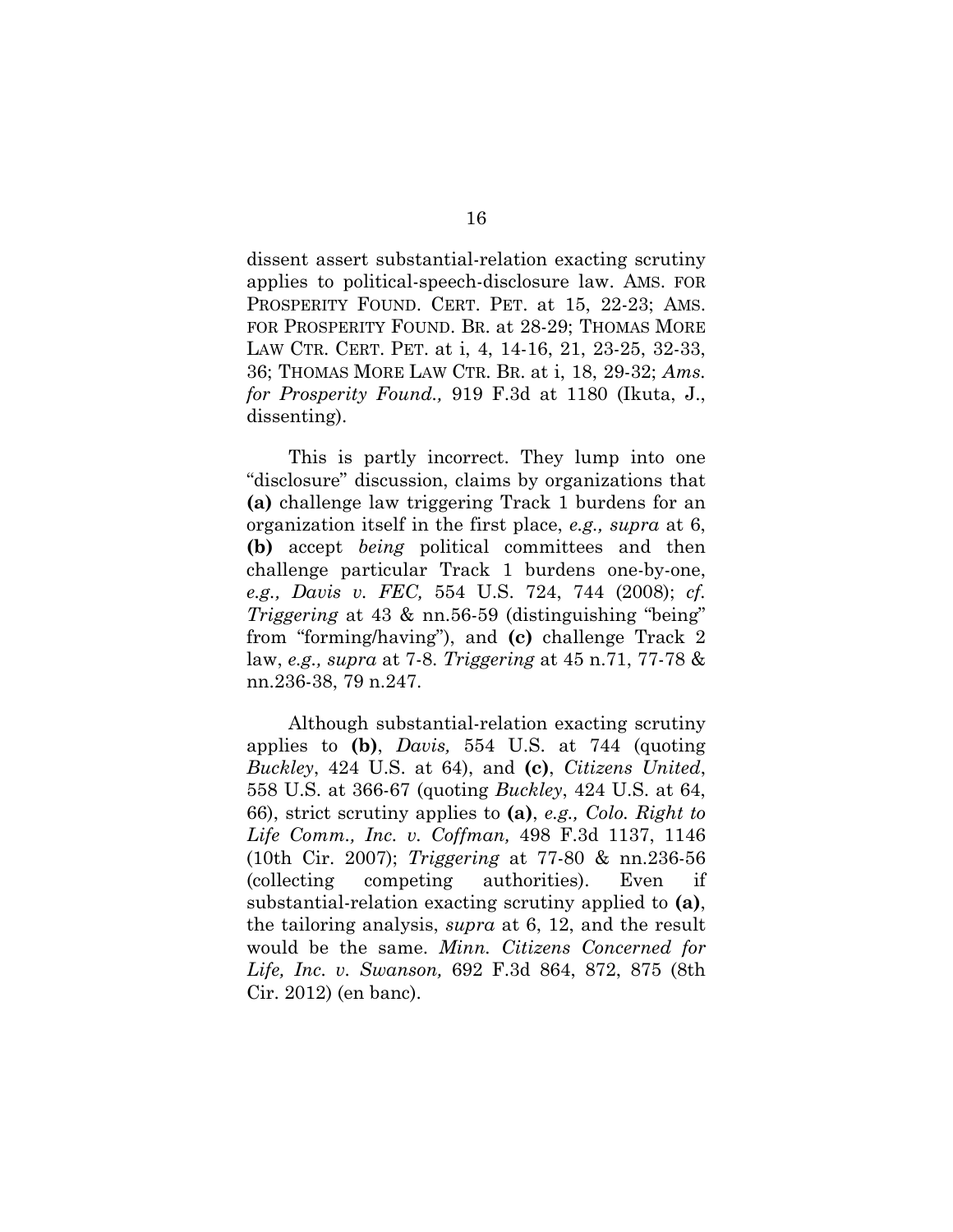dissent assert substantial-relation exacting scrutiny applies to political-speech-disclosure law. AMS. FOR PROSPERITY FOUND. CERT. PET. at 15, 22-23; AMS. FOR PROSPERITY FOUND. BR. at 28-29; THOMAS MORE LAW CTR. CERT. PET. at i, 4, 14-16, 21, 23-25, 32-33, 36; THOMAS MORE LAW CTR. BR. at i, 18, 29-32; *Ams. for Prosperity Found.,* 919 F.3d at 1180 (Ikuta, J., dissenting).

This is partly incorrect. They lump into one "disclosure" discussion, claims by organizations that **(a)** challenge law triggering Track 1 burdens for an organization itself in the first place, *e.g., supra* at 6, **(b)** accept *being* political committees and then challenge particular Track 1 burdens one-by-one, *e.g., Davis v. FEC,* 554 U.S. 724, 744 (2008); *cf. Triggering* at 43 & nn.56-59 (distinguishing "being" from "forming/having"), and **(c)** challenge Track 2 law, *e.g., supra* at 7-8. *Triggering* at 45 n.71, 77-78 & nn.236-38, 79 n.247.

Although substantial-relation exacting scrutiny applies to **(b)**, *Davis,* 554 U.S. at 744 (quoting *Buckley*, 424 U.S. at 64), and **(c)**, *Citizens United*, 558 U.S. at 366-67 (quoting *Buckley*, 424 U.S. at 64, 66), strict scrutiny applies to **(a)**, *e.g., Colo. Right to Life Comm., Inc. v. Coffman,* 498 F.3d 1137, 1146 (10th Cir. 2007); *Triggering* at 77-80 & nn.236-56 (collecting competing authorities). Even if substantial-relation exacting scrutiny applied to **(a)**, the tailoring analysis, *supra* at 6, 12, and the result would be the same. *Minn. Citizens Concerned for Life, Inc. v. Swanson,* 692 F.3d 864, 872, 875 (8th Cir. 2012) (en banc).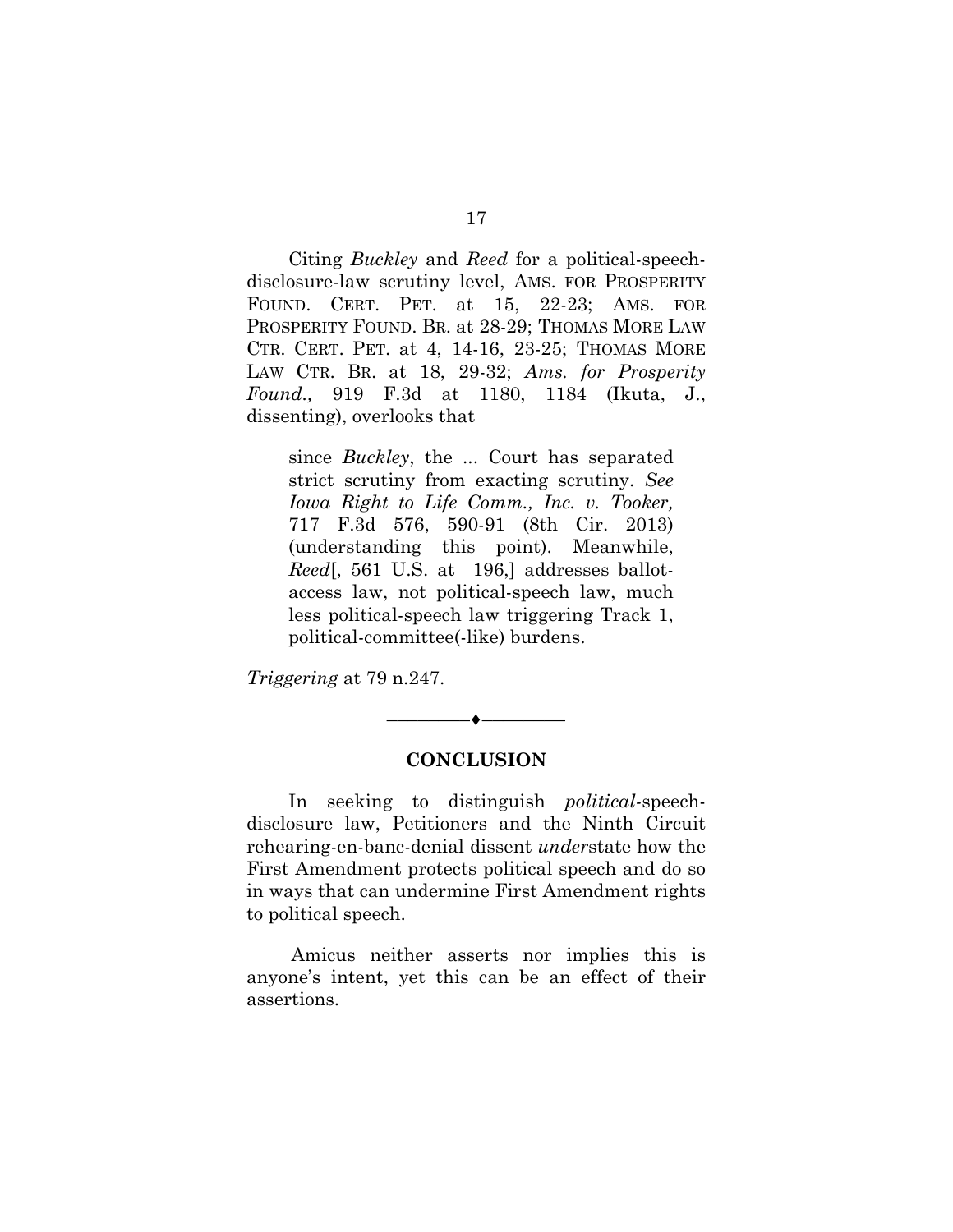Citing *Buckley* and *Reed* for a political-speechdisclosure-law scrutiny level, AMS. FOR PROSPERITY FOUND. CERT. PET. at 15, 22-23; AMS. FOR PROSPERITY FOUND. BR. at 28-29; THOMAS MORE LAW CTR. CERT. PET. at 4, 14-16, 23-25; THOMAS MORE LAW CTR. BR. at 18, 29-32; *Ams. for Prosperity Found.,* 919 F.3d at 1180, 1184 (Ikuta, J., dissenting), overlooks that

since *Buckley*, the ... Court has separated strict scrutiny from exacting scrutiny. *See Iowa Right to Life Comm., Inc. v. Tooker,*  717 F.3d 576, 590-91 (8th Cir. 2013) (understanding this point). Meanwhile, *Reed*[, 561 U.S. at 196,] addresses ballotaccess law, not political-speech law, much less political-speech law triggering Track 1, political-committee(-like) burdens.

*Triggering* at 79 n.247.

## **CONCLUSION**

––––––––♦––––––––

<span id="page-22-0"></span>In seeking to distinguish *political-*speechdisclosure law, Petitioners and the Ninth Circuit rehearing-en-banc-denial dissent *under*state how the First Amendment protects political speech and do so in ways that can undermine First Amendment rights to political speech.

Amicus neither asserts nor implies this is anyone's intent, yet this can be an effect of their assertions.